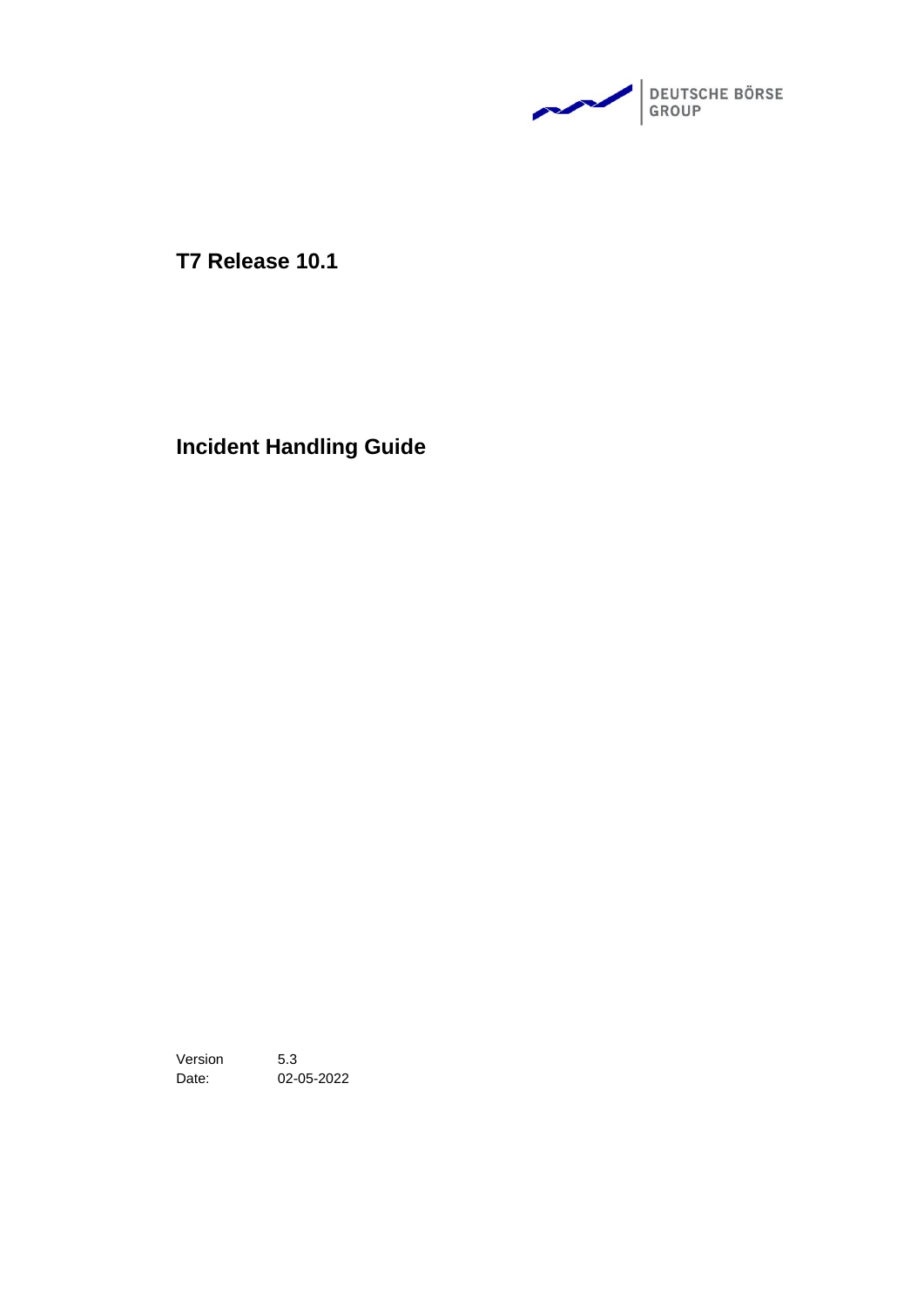

**T7 Release 10.1**

**Incident Handling Guide**

Version 5.3 Date: 02-05-2022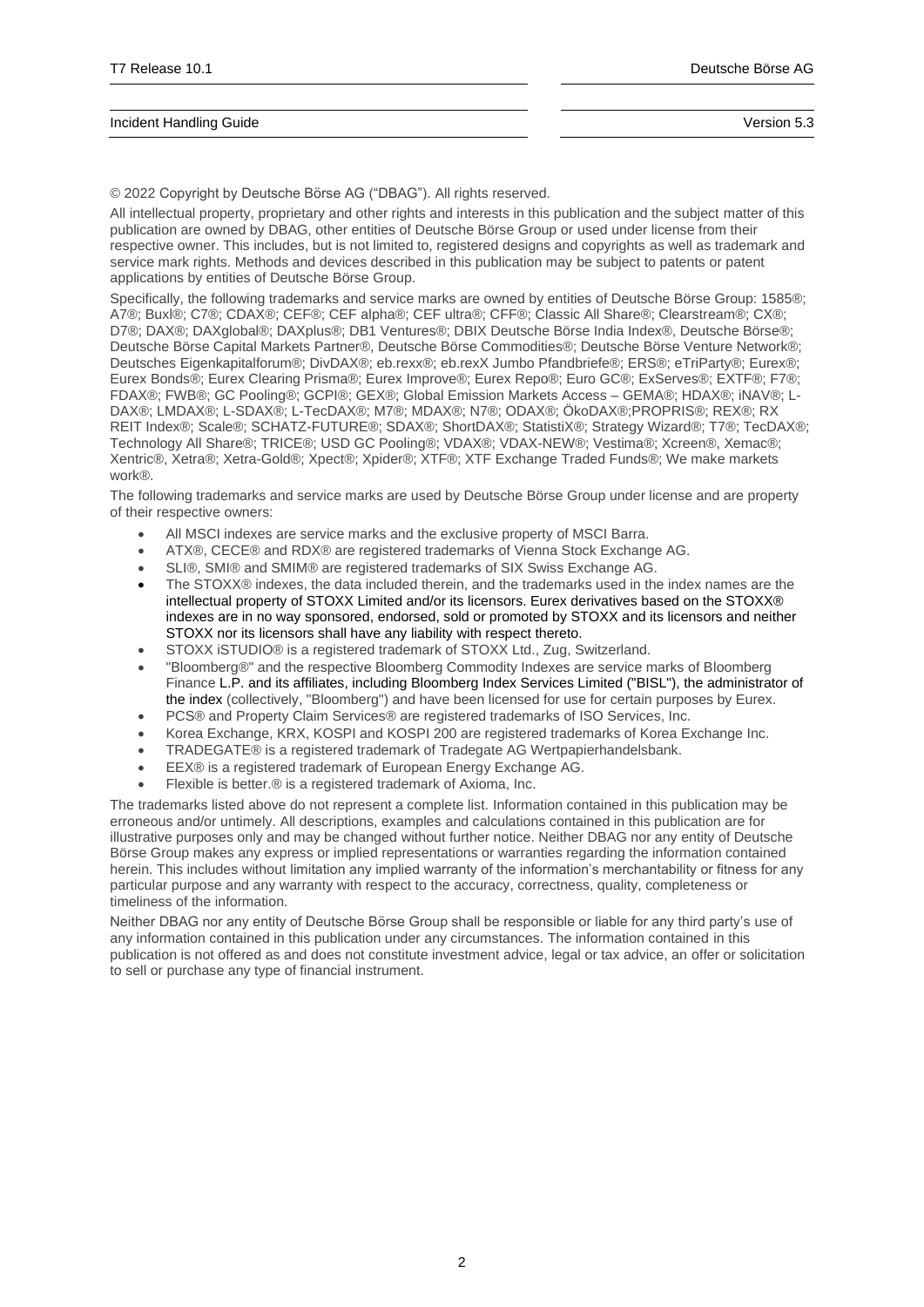© 2022 Copyright by Deutsche Börse AG ("DBAG"). All rights reserved.

All intellectual property, proprietary and other rights and interests in this publication and the subject matter of this publication are owned by DBAG, other entities of Deutsche Börse Group or used under license from their respective owner. This includes, but is not limited to, registered designs and copyrights as well as trademark and service mark rights. Methods and devices described in this publication may be subject to patents or patent applications by entities of Deutsche Börse Group.

Specifically, the following trademarks and service marks are owned by entities of Deutsche Börse Group: 1585®; A7®; Buxl®; C7®; CDAX®; CEF®; CEF alpha®; CEF ultra®; CFF®; Classic All Share®; Clearstream®; CX®; D7®; DAX®; DAXglobal®; DAXplus®; DB1 Ventures®; DBIX Deutsche Börse India Index®, Deutsche Börse®; Deutsche Börse Capital Markets Partner®, Deutsche Börse Commodities®; Deutsche Börse Venture Network®; Deutsches Eigenkapitalforum®; DivDAX®; eb.rexx®; eb.rexX Jumbo Pfandbriefe®; ERS®; eTriParty®; Eurex®; Eurex Bonds®; Eurex Clearing Prisma®; Eurex Improve®; Eurex Repo®; Euro GC®; ExServes®; EXTF®; F7®; FDAX®; FWB®; GC Pooling®; GCPI®; GEX®; Global Emission Markets Access – GEMA®; HDAX®; iNAV®; L-DAX®; LMDAX®; L-SDAX®; L-TecDAX®; M7®; MDAX®; N7®; ODAX®; ÖkoDAX®;PROPRIS®; REX®; RX REIT Index®; Scale®; SCHATZ-FUTURE®; SDAX®; ShortDAX®; StatistiX®; Strategy Wizard®; T7®; TecDAX®; Technology All Share®; TRICE®; USD GC Pooling®; VDAX®; VDAX-NEW®; Vestima®; Xcreen®, Xemac®; Xentric®, Xetra®; Xetra-Gold®; Xpect®; Xpider®; XTF®; XTF Exchange Traded Funds®; We make markets work®.

The following trademarks and service marks are used by Deutsche Börse Group under license and are property of their respective owners:

- All MSCI indexes are service marks and the exclusive property of MSCI Barra.
- ATX®, CECE® and RDX® are registered trademarks of Vienna Stock Exchange AG.
- SLI®, SMI® and SMIM® are registered trademarks of SIX Swiss Exchange AG.
- The STOXX® indexes, the data included therein, and the trademarks used in the index names are the intellectual property of STOXX Limited and/or its licensors. Eurex derivatives based on the STOXX® indexes are in no way sponsored, endorsed, sold or promoted by STOXX and its licensors and neither STOXX nor its licensors shall have any liability with respect thereto.
- STOXX iSTUDIO® is a registered trademark of STOXX Ltd., Zug, Switzerland.
- "Bloomberg®" and the respective Bloomberg Commodity Indexes are service marks of Bloomberg Finance L.P. and its affiliates, including Bloomberg Index Services Limited ("BISL"), the administrator of the index (collectively, "Bloomberg") and have been licensed for use for certain purposes by Eurex.
- PCS® and Property Claim Services® are registered trademarks of ISO Services, Inc.
- Korea Exchange, KRX, KOSPI and KOSPI 200 are registered trademarks of Korea Exchange Inc.
- TRADEGATE® is a registered trademark of Tradegate AG Wertpapierhandelsbank.
- EEX® is a registered trademark of European Energy Exchange AG.
- Flexible is better.® is a registered trademark of Axioma, Inc.

The trademarks listed above do not represent a complete list. Information contained in this publication may be erroneous and/or untimely. All descriptions, examples and calculations contained in this publication are for illustrative purposes only and may be changed without further notice. Neither DBAG nor any entity of Deutsche Börse Group makes any express or implied representations or warranties regarding the information contained herein. This includes without limitation any implied warranty of the information's merchantability or fitness for any particular purpose and any warranty with respect to the accuracy, correctness, quality, completeness or timeliness of the information.

Neither DBAG nor any entity of Deutsche Börse Group shall be responsible or liable for any third party's use of any information contained in this publication under any circumstances. The information contained in this publication is not offered as and does not constitute investment advice, legal or tax advice, an offer or solicitation to sell or purchase any type of financial instrument.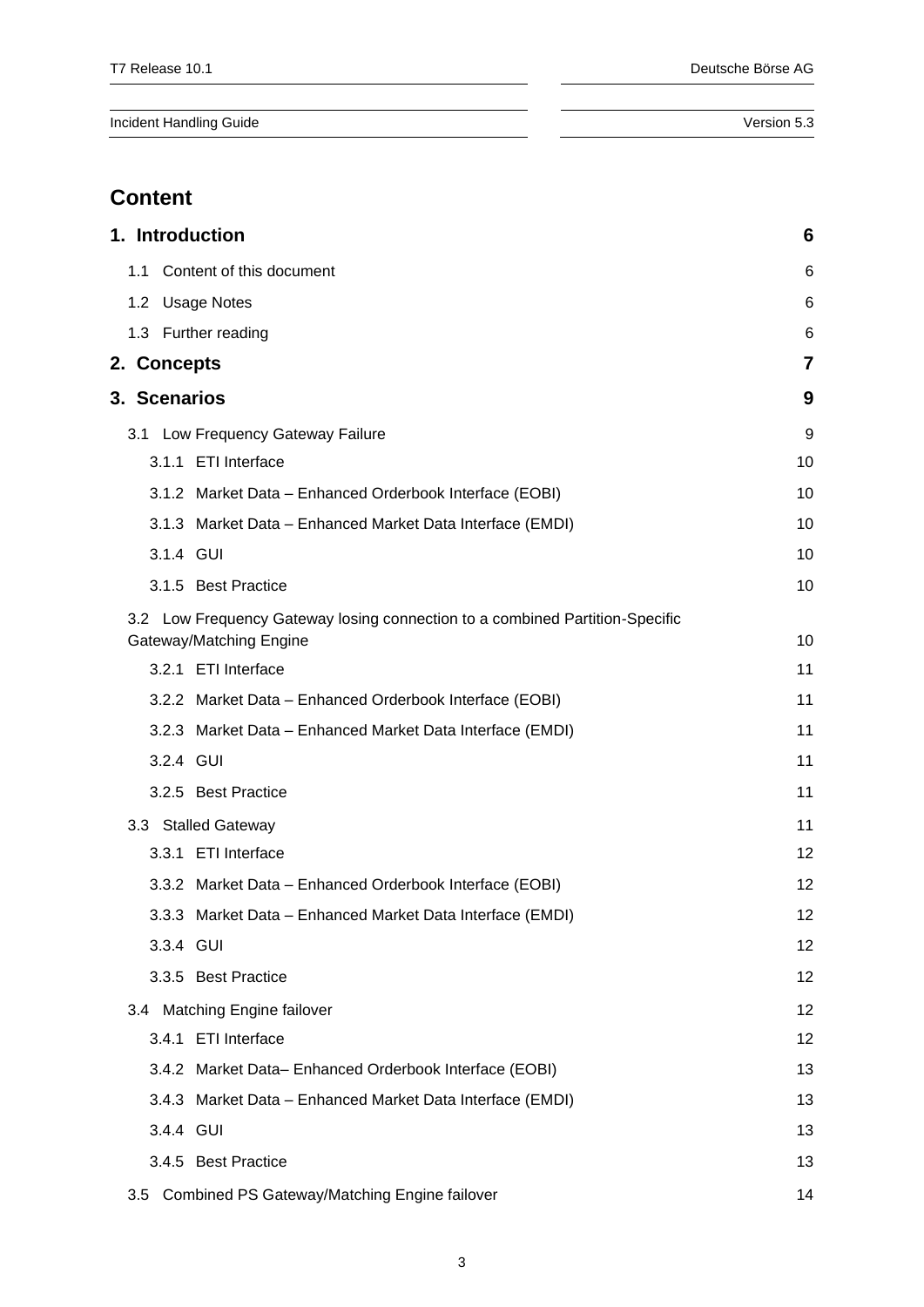# **Content**

| 1. Introduction                                                                                         | 6  |  |  |  |
|---------------------------------------------------------------------------------------------------------|----|--|--|--|
| Content of this document<br>1.1                                                                         |    |  |  |  |
| 1.2 Usage Notes                                                                                         |    |  |  |  |
| 1.3 Further reading                                                                                     | 6  |  |  |  |
| 2. Concepts                                                                                             | 7  |  |  |  |
| 3. Scenarios                                                                                            | 9  |  |  |  |
| 3.1 Low Frequency Gateway Failure                                                                       | 9  |  |  |  |
| 3.1.1 ETI Interface                                                                                     | 10 |  |  |  |
| 3.1.2 Market Data - Enhanced Orderbook Interface (EOBI)                                                 | 10 |  |  |  |
| 3.1.3 Market Data - Enhanced Market Data Interface (EMDI)                                               | 10 |  |  |  |
| 3.1.4 GUI                                                                                               | 10 |  |  |  |
| 3.1.5 Best Practice                                                                                     | 10 |  |  |  |
| 3.2 Low Frequency Gateway losing connection to a combined Partition-Specific<br>Gateway/Matching Engine | 10 |  |  |  |
| 3.2.1 ETI Interface                                                                                     | 11 |  |  |  |
| 3.2.2 Market Data - Enhanced Orderbook Interface (EOBI)                                                 | 11 |  |  |  |
| 3.2.3 Market Data - Enhanced Market Data Interface (EMDI)                                               | 11 |  |  |  |
| 3.2.4 GUI                                                                                               | 11 |  |  |  |
| 3.2.5 Best Practice                                                                                     | 11 |  |  |  |
| 3.3 Stalled Gateway                                                                                     | 11 |  |  |  |
| 3.3.1 ETI Interface                                                                                     | 12 |  |  |  |
| 3.3.2 Market Data - Enhanced Orderbook Interface (EOBI)                                                 | 12 |  |  |  |
| 3.3.3 Market Data - Enhanced Market Data Interface (EMDI)                                               | 12 |  |  |  |
| 3.3.4 GUI                                                                                               | 12 |  |  |  |
| 3.3.5 Best Practice                                                                                     | 12 |  |  |  |
| 3.4 Matching Engine failover                                                                            | 12 |  |  |  |
| 3.4.1 ETI Interface                                                                                     | 12 |  |  |  |
| 3.4.2 Market Data-Enhanced Orderbook Interface (EOBI)                                                   | 13 |  |  |  |
| 3.4.3 Market Data - Enhanced Market Data Interface (EMDI)                                               | 13 |  |  |  |
| 3.4.4 GUI                                                                                               | 13 |  |  |  |
| 3.4.5 Best Practice                                                                                     | 13 |  |  |  |
| Combined PS Gateway/Matching Engine failover<br>3.5                                                     | 14 |  |  |  |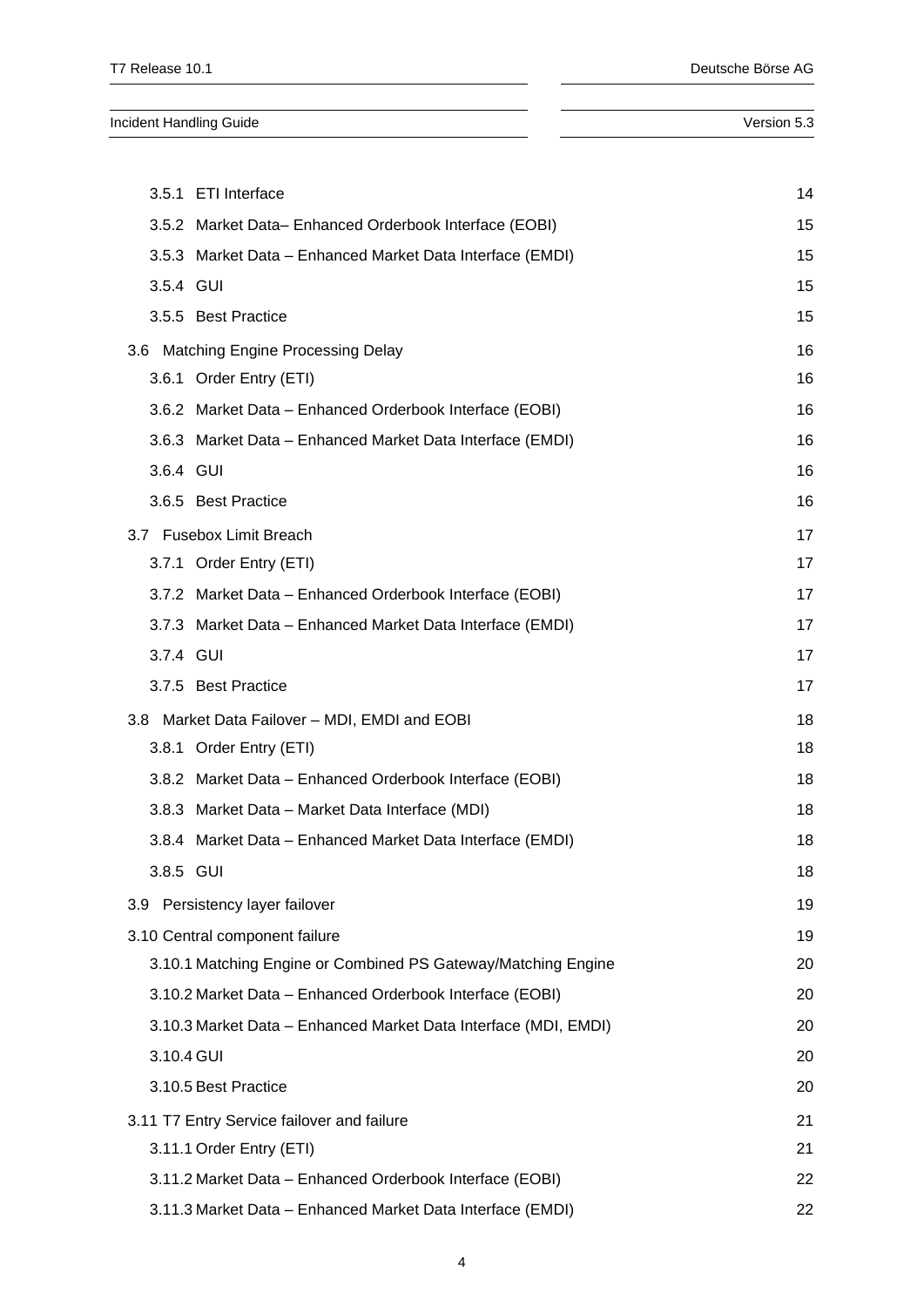**Incident Handling Guide** Version 5.3 3.5.1 [ETI Interface](#page-13-1) 14 3.5.2 Market Data– [Enhanced Orderbook Interface \(EOBI\)](#page-14-0) 15 3.5.3 Market Data – [Enhanced Market Data Interface \(EMDI\)](#page-14-1) 15 [3.5.4](#page-14-2) GUI 15 3.5.5 [Best Practice](#page-14-3) 15 3.6 [Matching Engine Processing Delay](#page-15-0) 16 3.6.1 [Order Entry \(ETI\)](#page-15-1) 16 3.6.2 Market Data – [Enhanced Orderbook Interface \(EOBI\)](#page-15-2) 16 3.6.3 Market Data – [Enhanced Market Data Interface \(EMDI\)](#page-15-3) 16  $3.6.4$  GUI 16 3.6.5 [Best Practice](#page-15-5) 16 3.7 [Fusebox Limit Breach](#page-16-0) 17

|                                                           | 3.6 Matching Engine Processing Delay                            | 16 |  |  |  |
|-----------------------------------------------------------|-----------------------------------------------------------------|----|--|--|--|
|                                                           | 3.6.1 Order Entry (ETI)                                         |    |  |  |  |
|                                                           | 3.6.2 Market Data - Enhanced Orderbook Interface (EOBI)         | 16 |  |  |  |
| 3.6.3 Market Data - Enhanced Market Data Interface (EMDI) |                                                                 |    |  |  |  |
| 3.6.4 GUI                                                 |                                                                 | 16 |  |  |  |
|                                                           | 3.6.5 Best Practice                                             | 16 |  |  |  |
|                                                           | 3.7 Fusebox Limit Breach                                        | 17 |  |  |  |
|                                                           | 3.7.1 Order Entry (ETI)                                         | 17 |  |  |  |
|                                                           | 3.7.2 Market Data - Enhanced Orderbook Interface (EOBI)         | 17 |  |  |  |
|                                                           | 3.7.3 Market Data - Enhanced Market Data Interface (EMDI)       | 17 |  |  |  |
| 3.7.4 GUI                                                 |                                                                 | 17 |  |  |  |
|                                                           | 3.7.5 Best Practice                                             | 17 |  |  |  |
|                                                           | 3.8 Market Data Failover - MDI, EMDI and EOBI                   | 18 |  |  |  |
|                                                           | 3.8.1 Order Entry (ETI)                                         | 18 |  |  |  |
|                                                           | 3.8.2 Market Data - Enhanced Orderbook Interface (EOBI)         | 18 |  |  |  |
|                                                           | 3.8.3 Market Data - Market Data Interface (MDI)                 | 18 |  |  |  |
|                                                           | 3.8.4 Market Data - Enhanced Market Data Interface (EMDI)       | 18 |  |  |  |
| 3.8.5 GUI                                                 |                                                                 | 18 |  |  |  |
|                                                           | 3.9 Persistency layer failover                                  | 19 |  |  |  |
|                                                           | 3.10 Central component failure                                  | 19 |  |  |  |
|                                                           | 3.10.1 Matching Engine or Combined PS Gateway/Matching Engine   | 20 |  |  |  |
|                                                           | 3.10.2 Market Data - Enhanced Orderbook Interface (EOBI)        | 20 |  |  |  |
|                                                           | 3.10.3 Market Data - Enhanced Market Data Interface (MDI, EMDI) | 20 |  |  |  |
| 3.10.4 GUI                                                |                                                                 | 20 |  |  |  |
|                                                           | 3.10.5 Best Practice                                            | 20 |  |  |  |
|                                                           | 3.11 T7 Entry Service failover and failure                      | 21 |  |  |  |
|                                                           | 3.11.1 Order Entry (ETI)<br>21                                  |    |  |  |  |

3.11.2 Market Data – [Enhanced Orderbook Interface \(EOBI\)](#page-21-0) 22 3.11.3 Market Data – [Enhanced Market Data Interface \(EMDI\)](#page-21-1) 22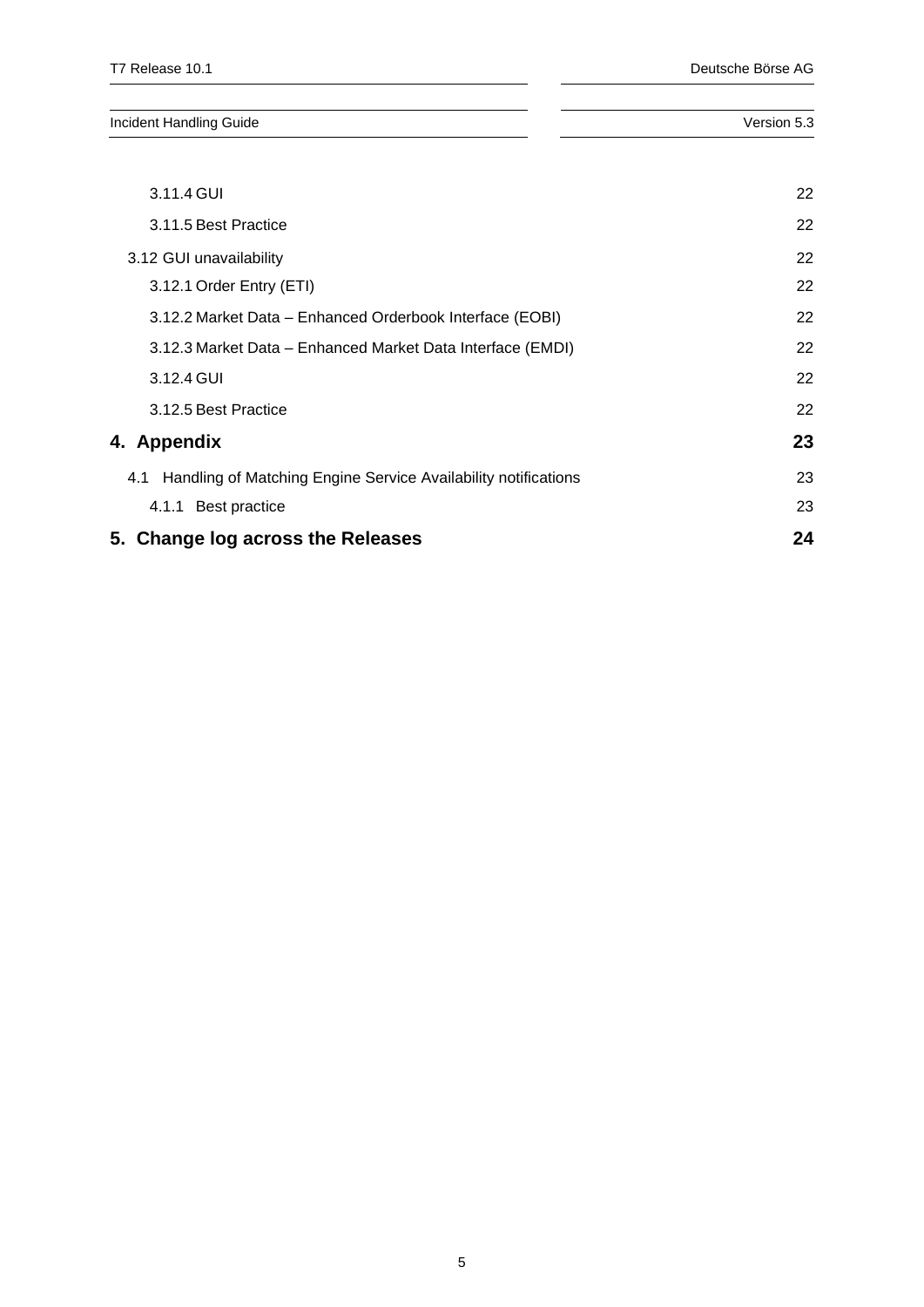| Incident Handling Guide |  |  | Version 5.3 |  |
|-------------------------|--|--|-------------|--|
|                         |  |  |             |  |

| 5. Change log across the Releases                                     | 24 |
|-----------------------------------------------------------------------|----|
| 4.1.1 Best practice                                                   | 23 |
| Handling of Matching Engine Service Availability notifications<br>4.1 | 23 |
| 4. Appendix                                                           | 23 |
| 3.12.5 Best Practice                                                  | 22 |
| 3.12.4 GUI                                                            | 22 |
| 3.12.3 Market Data - Enhanced Market Data Interface (EMDI)            | 22 |
| 3.12.2 Market Data – Enhanced Orderbook Interface (EOBI)              | 22 |
| 3.12.1 Order Entry (ETI)                                              | 22 |
| 3.12 GUI unavailability                                               | 22 |
| 3.11.5 Best Practice                                                  | 22 |
| 3.11.4 GUI                                                            | 22 |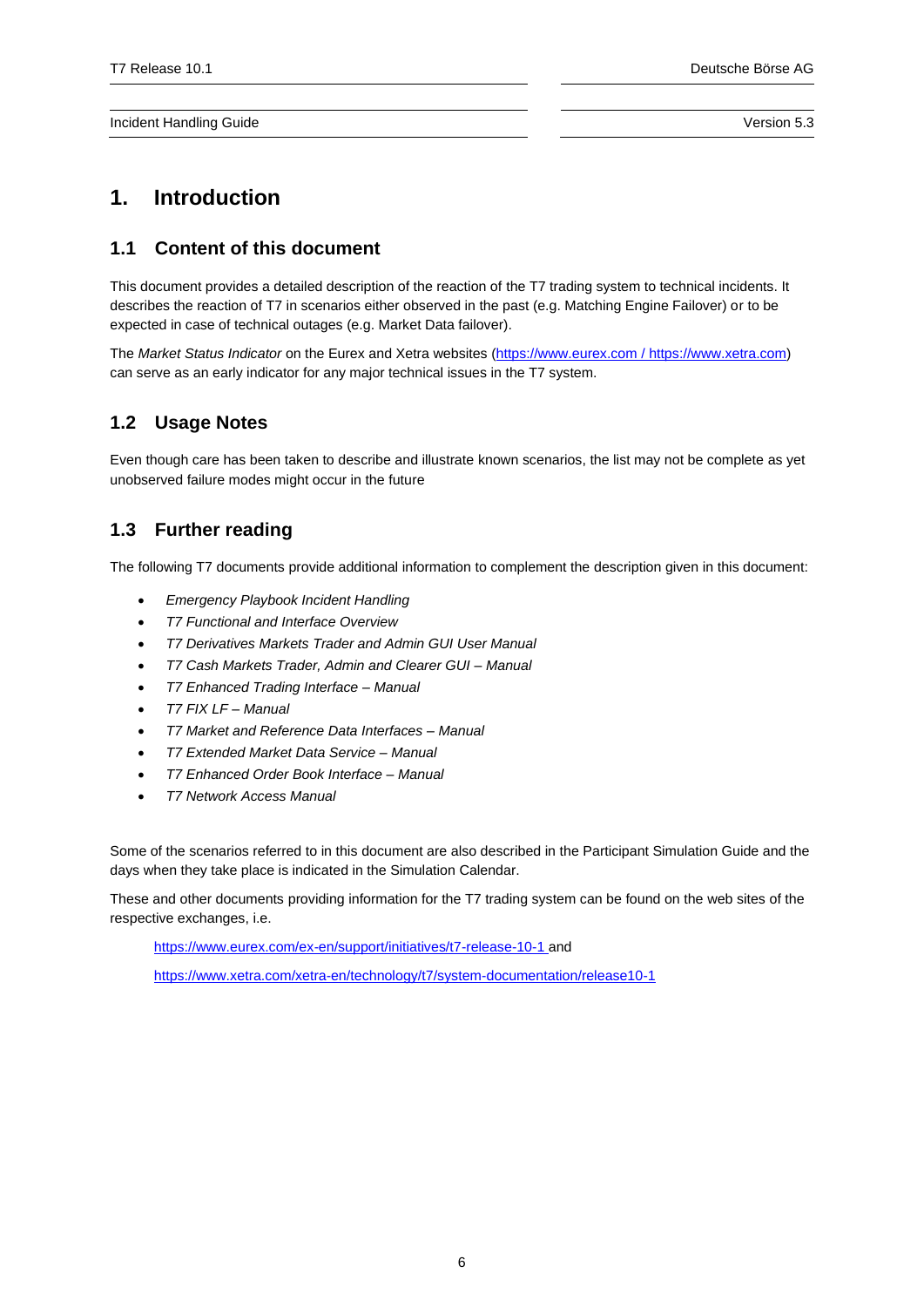# <span id="page-5-0"></span>**1. Introduction**

# <span id="page-5-1"></span>**1.1 Content of this document**

This document provides a detailed description of the reaction of the T7 trading system to technical incidents. It describes the reaction of T7 in scenarios either observed in the past (e.g. Matching Engine Failover) or to be expected in case of technical outages (e.g. Market Data failover).

The *Market Status Indicator* on the Eurex and Xetra websites [\(https://www.eurex.com](https://www.eurex.com/) / [https://www.xetra.com\)](https://www.xetra.com/) can serve as an early indicator for any major technical issues in the T7 system.

# <span id="page-5-2"></span>**1.2 Usage Notes**

Even though care has been taken to describe and illustrate known scenarios, the list may not be complete as yet unobserved failure modes might occur in the future

# <span id="page-5-3"></span>**1.3 Further reading**

The following T7 documents provide additional information to complement the description given in this document:

- *Emergency Playbook Incident Handling*
- *T7 Functional and Interface Overview*
- *T7 Derivatives Markets Trader and Admin GUI User Manual*
- *T7 Cash Markets Trader, Admin and Clearer GUI – Manual*
- *T7 Enhanced Trading Interface – Manual*
- *T7 FIX LF – Manual*
- *T7 Market and Reference Data Interfaces – Manual*
- *T7 Extended Market Data Service – Manual*
- *T7 Enhanced Order Book Interface – Manual*
- *T7 Network Access Manual*

Some of the scenarios referred to in this document are also described in the Participant Simulation Guide and the days when they take place is indicated in the Simulation Calendar.

These and other documents providing information for the T7 trading system can be found on the web sites of the respective exchanges, i.e.

<https://www.eurex.com/ex-en/support/initiatives/t7-release-10-1> and

<https://www.xetra.com/xetra-en/technology/t7/system-documentation/release10-1>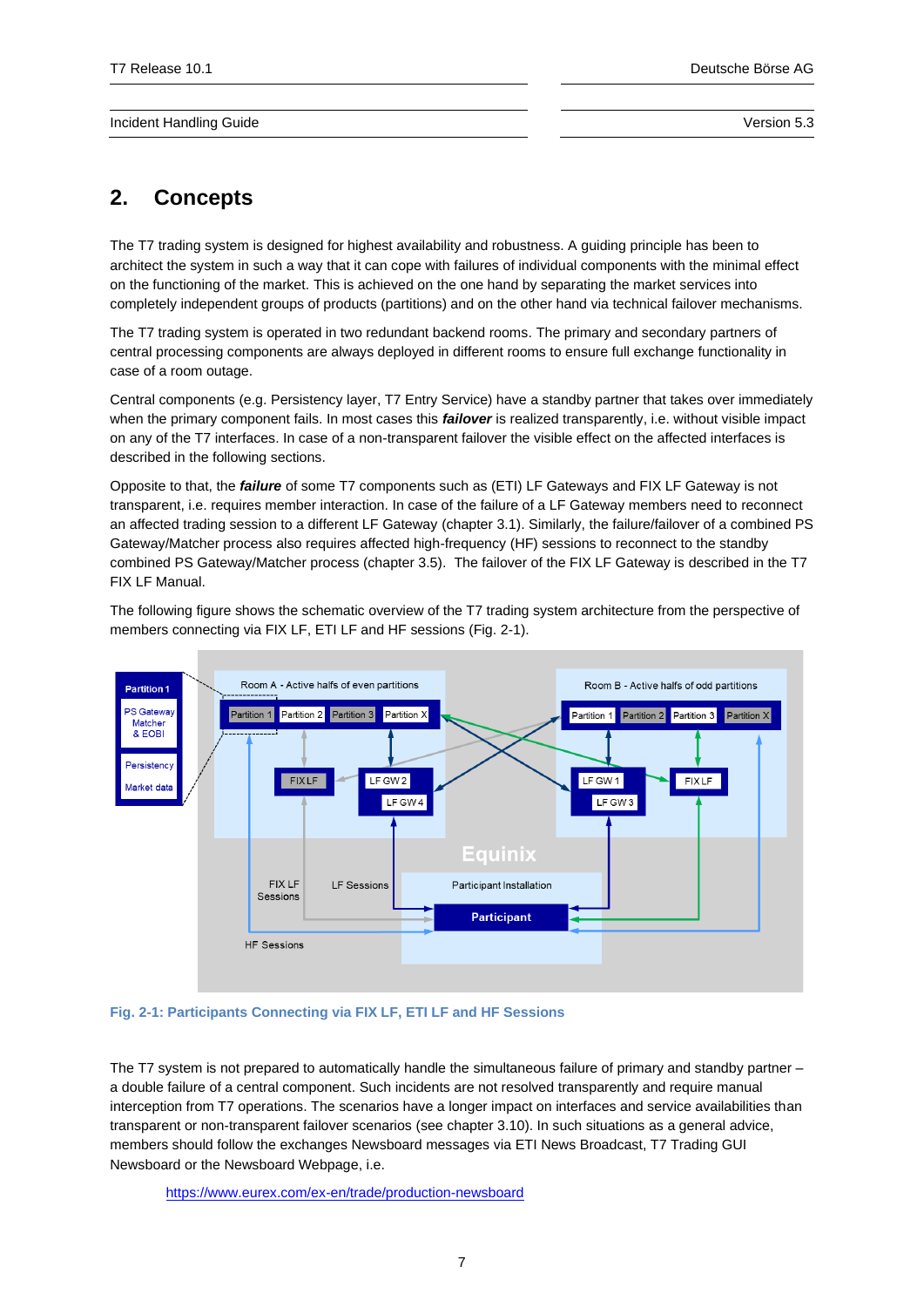# <span id="page-6-0"></span>**2. Concepts**

The T7 trading system is designed for highest availability and robustness. A guiding principle has been to architect the system in such a way that it can cope with failures of individual components with the minimal effect on the functioning of the market. This is achieved on the one hand by separating the market services into completely independent groups of products (partitions) and on the other hand via technical failover mechanisms.

The T7 trading system is operated in two redundant backend rooms. The primary and secondary partners of central processing components are always deployed in different rooms to ensure full exchange functionality in case of a room outage.

Central components (e.g. Persistency layer, T7 Entry Service) have a standby partner that takes over immediately when the primary component fails. In most cases this *failover* is realized transparently, i.e. without visible impact on any of the T7 interfaces. In case of a non-transparent failover the visible effect on the affected interfaces is described in the following sections.

Opposite to that, the *failure* of some T7 components such as (ETI) LF Gateways and FIX LF Gateway is not transparent, i.e. requires member interaction. In case of the failure of a LF Gateway members need to reconnect an affected trading session to a different LF Gateway (chapter [3.1\)](#page-8-1). Similarly, the failure/failover of a combined PS Gateway/Matcher process also requires affected high-frequency (HF) sessions to reconnect to the standby combined PS Gateway/Matcher process (chapte[r 3.5\)](#page-13-0). The failover of the FIX LF Gateway is described in the T7 FIX LF Manual.

The following figure shows the schematic overview of the T7 trading system architecture from the perspective of members connecting via FIX LF, ETI LF and HF sessions [\(Fig. 2-1\)](#page-6-1).



## <span id="page-6-1"></span>**Fig. 2-1: Participants Connecting via FIX LF, ETI LF and HF Sessions**

The T7 system is not prepared to automatically handle the simultaneous failure of primary and standby partner – a double failure of a central component. Such incidents are not resolved transparently and require manual interception from T7 operations. The scenarios have a longer impact on interfaces and service availabilities than transparent or non-transparent failover scenarios (see chapte[r 3.10\)](#page-18-1). In such situations as a general advice, members should follow the exchanges Newsboard messages via ETI News Broadcast, T7 Trading GUI Newsboard or the Newsboard Webpage, i.e.

<https://www.eurex.com/ex-en/trade/production-newsboard>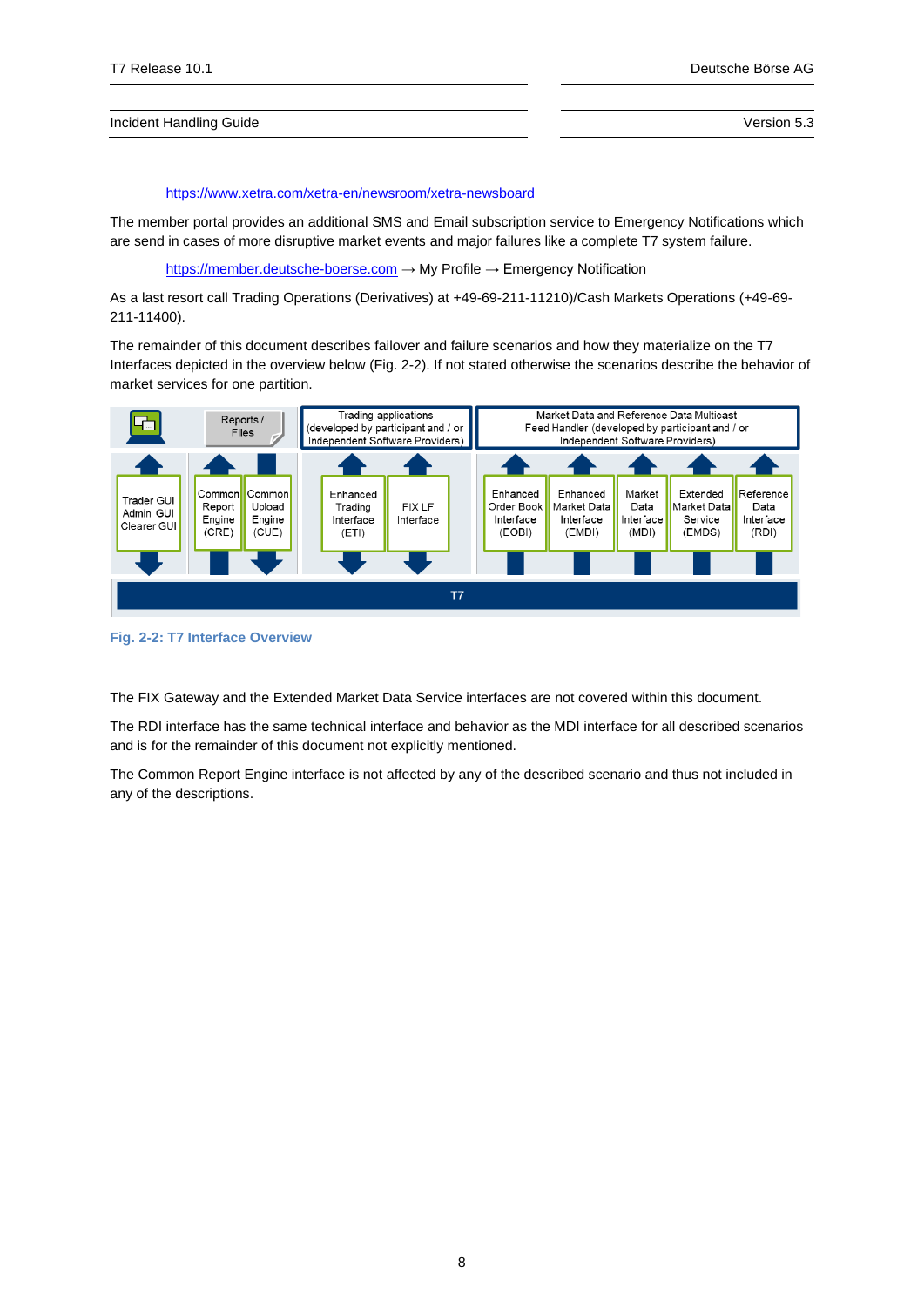### <https://www.xetra.com/xetra-en/newsroom/xetra-newsboard>

The member portal provides an additional SMS and Email subscription service to Emergency Notifications which are send in cases of more disruptive market events and major failures like a complete T7 system failure.

[https://member.deutsche-boerse.com](https://member.deutsche-boerse.com/) → My Profile → Emergency Notification

As a last resort call Trading Operations (Derivatives) at +49-69-211-11210)/Cash Markets Operations (+49-69- 211-11400).

The remainder of this document describes failover and failure scenarios and how they materialize on the T7 Interfaces depicted in the overview below [\(Fig.](#page-7-0) 2-2). If not stated otherwise the scenarios describe the behavior of market services for one partition.



<span id="page-7-0"></span>**Fig. 2-2: T7 Interface Overview**

The FIX Gateway and the Extended Market Data Service interfaces are not covered within this document.

The RDI interface has the same technical interface and behavior as the MDI interface for all described scenarios and is for the remainder of this document not explicitly mentioned.

The Common Report Engine interface is not affected by any of the described scenario and thus not included in any of the descriptions.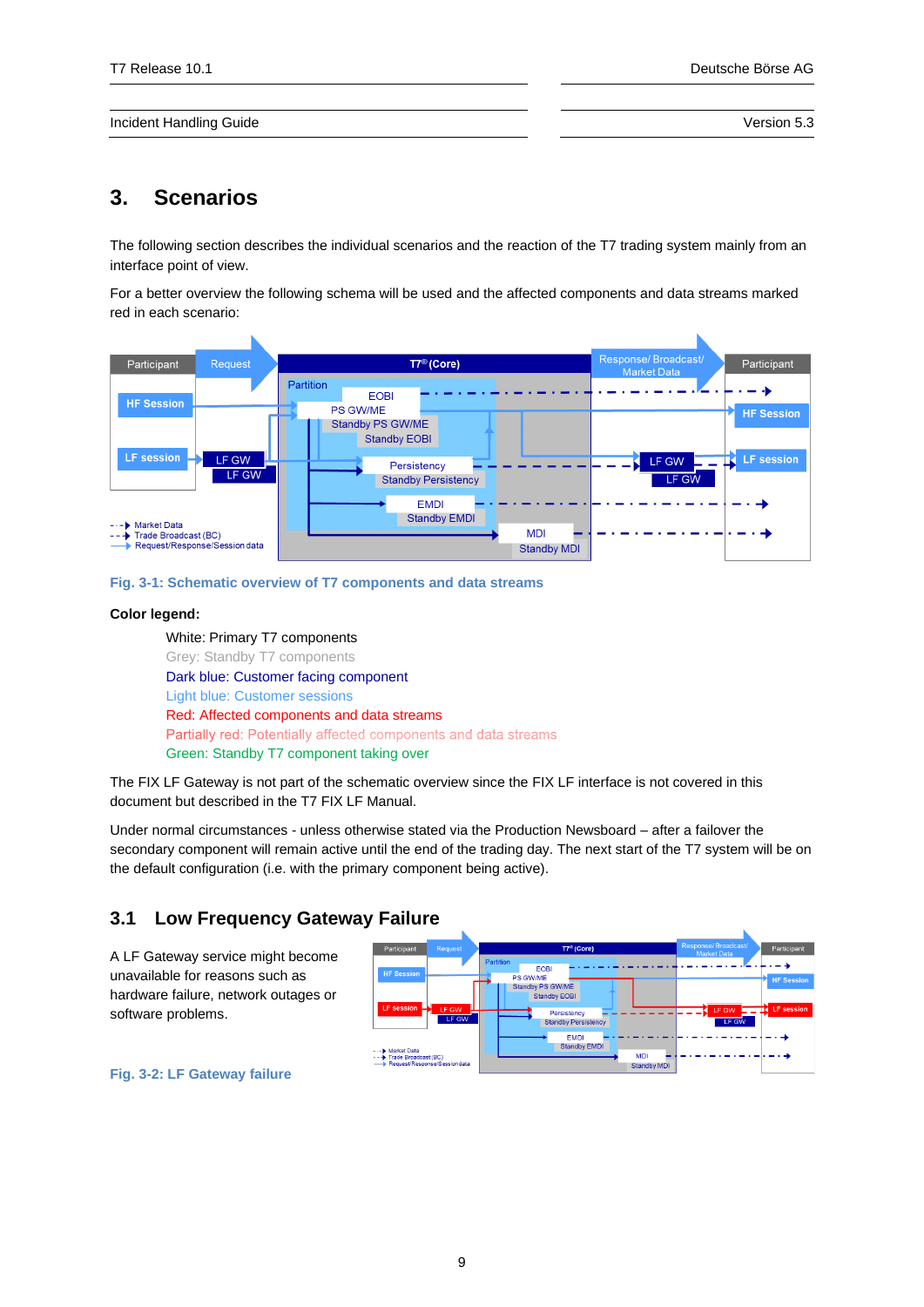# <span id="page-8-0"></span>**3. Scenarios**

The following section describes the individual scenarios and the reaction of the T7 trading system mainly from an interface point of view.

For a better overview the following schema will be used and the affected components and data streams marked red in each scenario:

| Participant                                                                                 | Request        | $TT^{\circledR}$ (Core)                                                | Response/Broadcast/<br>Participant<br><b>Market Data</b> |
|---------------------------------------------------------------------------------------------|----------------|------------------------------------------------------------------------|----------------------------------------------------------|
| <b>HF Session</b>                                                                           |                | Partition<br><b>EOBI</b><br><b>PS GW/ME</b><br>Standby PS GW/ME        | <b>HF Session</b>                                        |
| <b>LF</b> session                                                                           | LF GW<br>LF GW | <b>Standby EOBI</b><br>Persistency<br><b>Standby Persistency</b>       | <b>LF</b> session<br>LF GW<br>к<br>LF GW                 |
| <b>Market Data</b><br>- - D<br>Trade Broadcast (BC)<br>---<br>Request/Response/Session data |                | <b>EMDI</b><br><b>Standby EMDI</b><br><b>MDI</b><br><b>Standby MDI</b> |                                                          |

**Fig. 3-1: Schematic overview of T7 components and data streams**

### **Color legend:**

White: Primary T7 components Grey: Standby T7 components Dark blue: Customer facing component Light blue: Customer sessions Red: Affected components and data streams Partially red: Potentially affected components and data streams Green: Standby T7 component taking over

The FIX LF Gateway is not part of the schematic overview since the FIX LF interface is not covered in this document but described in the T7 FIX LF Manual.

Under normal circumstances - unless otherwise stated via the Production Newsboard – after a failover the secondary component will remain active until the end of the trading day. The next start of the T7 system will be on the default configuration (i.e. with the primary component being active).

# **3.1 Low Frequency Gateway Failure**

<span id="page-8-1"></span>A LF Gateway service might become unavailable for reasons such as hardware failure, network outages or software problems.



**Fig. 3-2: LF Gateway failure**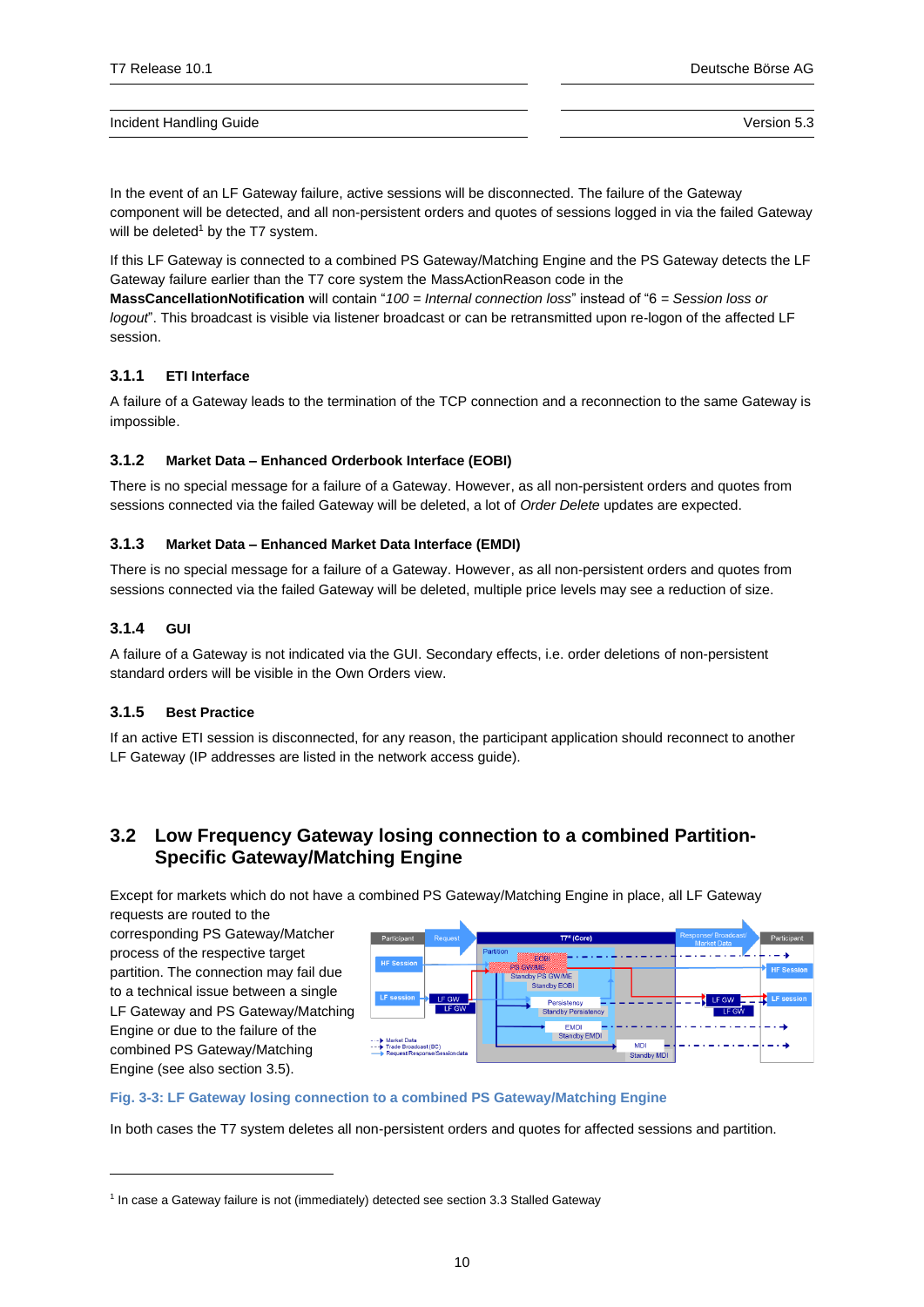In the event of an LF Gateway failure, active sessions will be disconnected. The failure of the Gateway component will be detected, and all non-persistent orders and quotes of sessions logged in via the failed Gateway will be deleted $1$  by the T7 system.

If this LF Gateway is connected to a combined PS Gateway/Matching Engine and the PS Gateway detects the LF Gateway failure earlier than the T7 core system the MassActionReason code in the

**MassCancellationNotification** will contain "*100 = Internal connection loss*" instead of "6 *= Session loss or logout*". This broadcast is visible via listener broadcast or can be retransmitted upon re-logon of the affected LF session.

## <span id="page-9-0"></span>**3.1.1 ETI Interface**

A failure of a Gateway leads to the termination of the TCP connection and a reconnection to the same Gateway is impossible.

## <span id="page-9-1"></span>**3.1.2 Market Data – Enhanced Orderbook Interface (EOBI)**

There is no special message for a failure of a Gateway. However, as all non-persistent orders and quotes from sessions connected via the failed Gateway will be deleted, a lot of *Order Delete* updates are expected.

### <span id="page-9-2"></span>**3.1.3 Market Data – Enhanced Market Data Interface (EMDI)**

There is no special message for a failure of a Gateway. However, as all non-persistent orders and quotes from sessions connected via the failed Gateway will be deleted, multiple price levels may see a reduction of size.

### <span id="page-9-3"></span>**3.1.4 GUI**

A failure of a Gateway is not indicated via the GUI. Secondary effects, i.e. order deletions of non-persistent standard orders will be visible in the Own Orders view.

## <span id="page-9-4"></span>**3.1.5 Best Practice**

If an active ETI session is disconnected, for any reason, the participant application should reconnect to another LF Gateway (IP addresses are listed in the network access guide).

## <span id="page-9-5"></span>**3.2 Low Frequency Gateway losing connection to a combined Partition-Specific Gateway/Matching Engine**

Except for markets which do not have a combined PS Gateway/Matching Engine in place, all LF Gateway requests are routed to the

corresponding PS Gateway/Matcher process of the respective target partition. The connection may fail due to a technical issue between a single LF Gateway and PS Gateway/Matching Engine or due to the failure of the combined PS Gateway/Matching Engine (see also section [3.5\)](#page-13-0).



#### **Fig. 3-3: LF Gateway losing connection to a combined PS Gateway/Matching Engine**

In both cases the T7 system deletes all non-persistent orders and quotes for affected sessions and partition.

<sup>&</sup>lt;sup>1</sup> In case a Gateway failure is not (immediately) detected see sectio[n 3.3](#page-10-5) [Stalled Gateway](#page-10-5)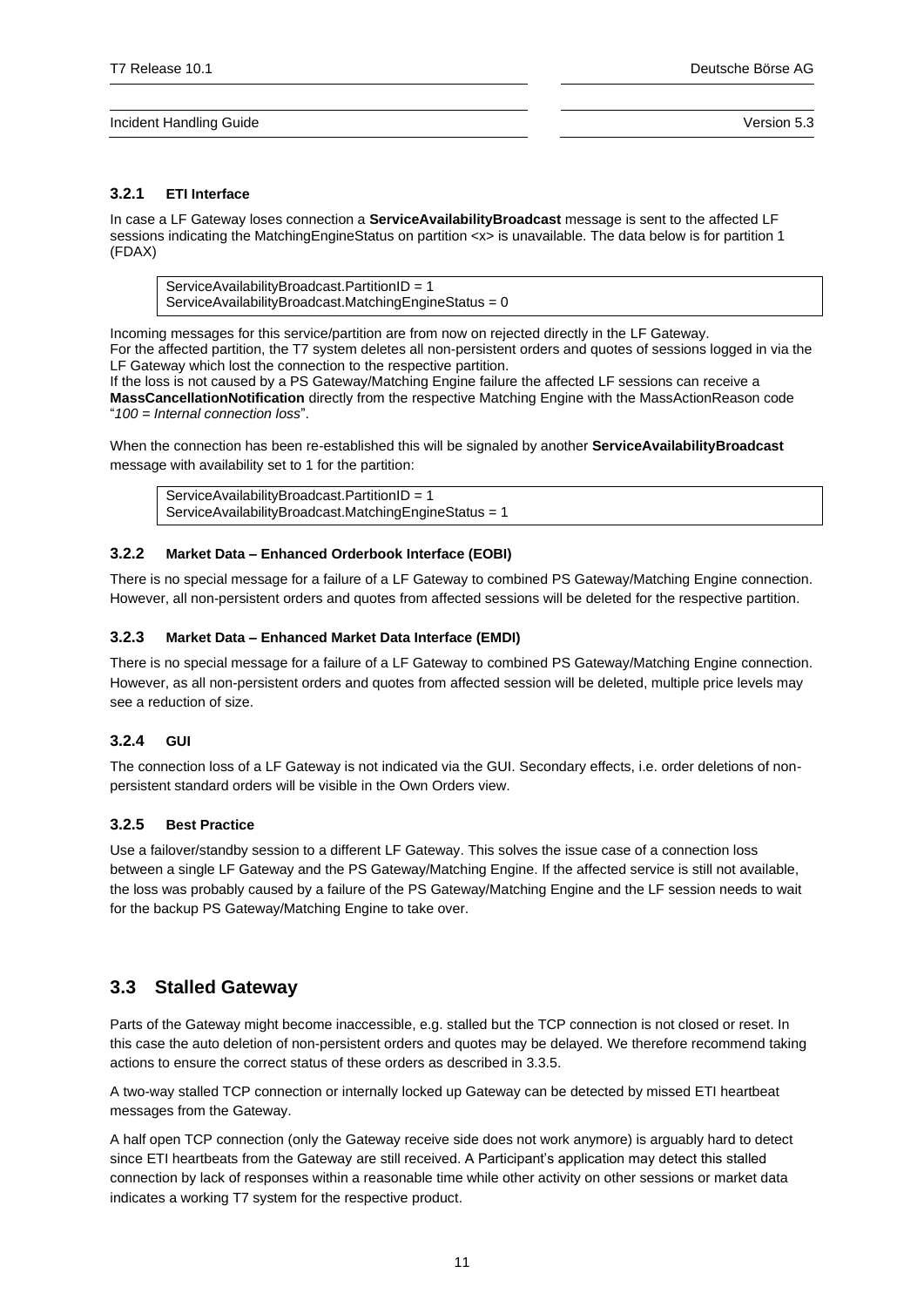## <span id="page-10-0"></span>**3.2.1 ETI Interface**

In case a LF Gateway loses connection a **ServiceAvailabilityBroadcast** message is sent to the affected LF sessions indicating the MatchingEngineStatus on partition <x> is unavailable. The data below is for partition 1 (FDAX)

ServiceAvailabilityBroadcast.PartitionID = 1 ServiceAvailabilityBroadcast.MatchingEngineStatus =  $0$ 

Incoming messages for this service/partition are from now on rejected directly in the LF Gateway. For the affected partition, the T7 system deletes all non-persistent orders and quotes of sessions logged in via the LF Gateway which lost the connection to the respective partition.

If the loss is not caused by a PS Gateway/Matching Engine failure the affected LF sessions can receive a **MassCancellationNotification** directly from the respective Matching Engine with the MassActionReason code "*100 = Internal connection loss*".

When the connection has been re-established this will be signaled by another **ServiceAvailabilityBroadcast** message with availability set to 1 for the partition:

ServiceAvailabilityBroadcast.PartitionID = 1 ServiceAvailabilityBroadcast.MatchingEngineStatus = 1

## <span id="page-10-1"></span>**3.2.2 Market Data – Enhanced Orderbook Interface (EOBI)**

There is no special message for a failure of a LF Gateway to combined PS Gateway/Matching Engine connection. However, all non-persistent orders and quotes from affected sessions will be deleted for the respective partition.

## <span id="page-10-2"></span>**3.2.3 Market Data – Enhanced Market Data Interface (EMDI)**

There is no special message for a failure of a LF Gateway to combined PS Gateway/Matching Engine connection. However, as all non-persistent orders and quotes from affected session will be deleted, multiple price levels may see a reduction of size.

## <span id="page-10-3"></span>**3.2.4 GUI**

The connection loss of a LF Gateway is not indicated via the GUI. Secondary effects, i.e. order deletions of nonpersistent standard orders will be visible in the Own Orders view.

## <span id="page-10-4"></span>**3.2.5 Best Practice**

Use a failover/standby session to a different LF Gateway. This solves the issue case of a connection loss between a single LF Gateway and the PS Gateway/Matching Engine. If the affected service is still not available, the loss was probably caused by a failure of the PS Gateway/Matching Engine and the LF session needs to wait for the backup PS Gateway/Matching Engine to take over.

## <span id="page-10-5"></span>**3.3 Stalled Gateway**

Parts of the Gateway might become inaccessible, e.g. stalled but the TCP connection is not closed or reset. In this case the auto deletion of non-persistent orders and quotes may be delayed. We therefore recommend taking actions to ensure the correct status of these orders as described in [3.3.5.](#page-11-4)

A two-way stalled TCP connection or internally locked up Gateway can be detected by missed ETI heartbeat messages from the Gateway.

A half open TCP connection (only the Gateway receive side does not work anymore) is arguably hard to detect since ETI heartbeats from the Gateway are still received. A Participant's application may detect this stalled connection by lack of responses within a reasonable time while other activity on other sessions or market data indicates a working T7 system for the respective product.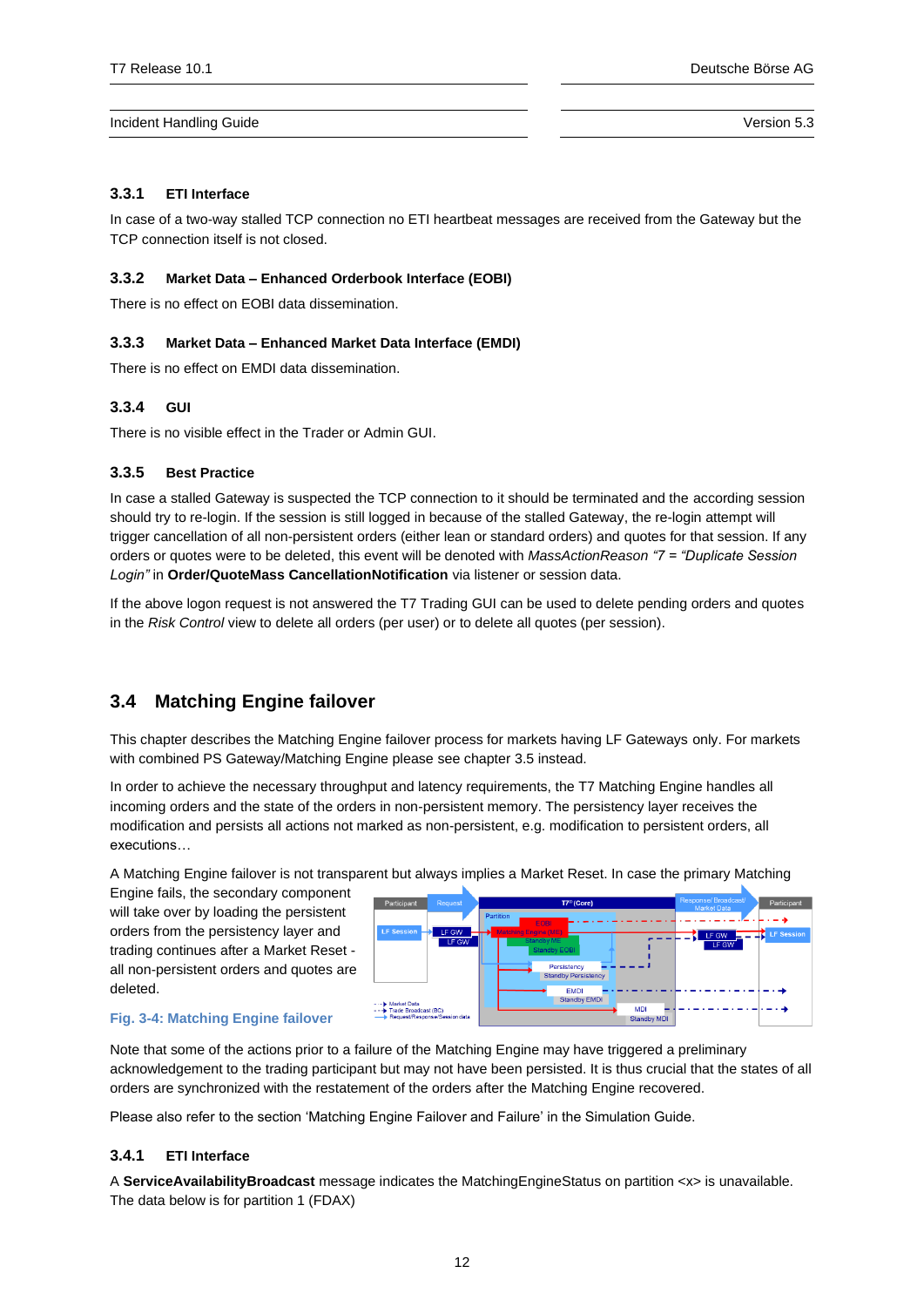## <span id="page-11-0"></span>**3.3.1 ETI Interface**

In case of a two-way stalled TCP connection no ETI heartbeat messages are received from the Gateway but the TCP connection itself is not closed.

## <span id="page-11-1"></span>**3.3.2 Market Data – Enhanced Orderbook Interface (EOBI)**

There is no effect on EOBI data dissemination.

## <span id="page-11-2"></span>**3.3.3 Market Data – Enhanced Market Data Interface (EMDI)**

There is no effect on EMDI data dissemination.

## <span id="page-11-3"></span>**3.3.4 GUI**

There is no visible effect in the Trader or Admin GUI.

## <span id="page-11-4"></span>**3.3.5 Best Practice**

In case a stalled Gateway is suspected the TCP connection to it should be terminated and the according session should try to re-login. If the session is still logged in because of the stalled Gateway, the re-login attempt will trigger cancellation of all non-persistent orders (either lean or standard orders) and quotes for that session. If any orders or quotes were to be deleted, this event will be denoted with *MassActionReason "7 = "Duplicate Session Login"* in **Order/QuoteMass CancellationNotification** via listener or session data.

If the above logon request is not answered the T7 Trading GUI can be used to delete pending orders and quotes in the *Risk Control* view to delete all orders (per user) or to delete all quotes (per session).

# <span id="page-11-5"></span>**3.4 Matching Engine failover**

This chapter describes the Matching Engine failover process for markets having LF Gateways only. For markets with combined PS Gateway/Matching Engine please see chapte[r 3.5](#page-13-0) instead.

In order to achieve the necessary throughput and latency requirements, the T7 Matching Engine handles all incoming orders and the state of the orders in non-persistent memory. The persistency layer receives the modification and persists all actions not marked as non-persistent, e.g. modification to persistent orders, all executions…

A Matching Engine failover is not transparent but always implies a Market Reset. In case the primary Matching

Engine fails, the secondary component will take over by loading the persistent orders from the persistency layer and trading continues after a Market Reset all non-persistent orders and quotes are deleted.



#### **Fig. 3-4: Matching Engine failover**

Note that some of the actions prior to a failure of the Matching Engine may have triggered a preliminary acknowledgement to the trading participant but may not have been persisted. It is thus crucial that the states of all orders are synchronized with the restatement of the orders after the Matching Engine recovered.

Please also refer to the section 'Matching Engine Failover and Failure' in the Simulation Guide.

## <span id="page-11-6"></span>**3.4.1 ETI Interface**

A **ServiceAvailabilityBroadcast** message indicates the MatchingEngineStatus on partition <x> is unavailable. The data below is for partition 1 (FDAX)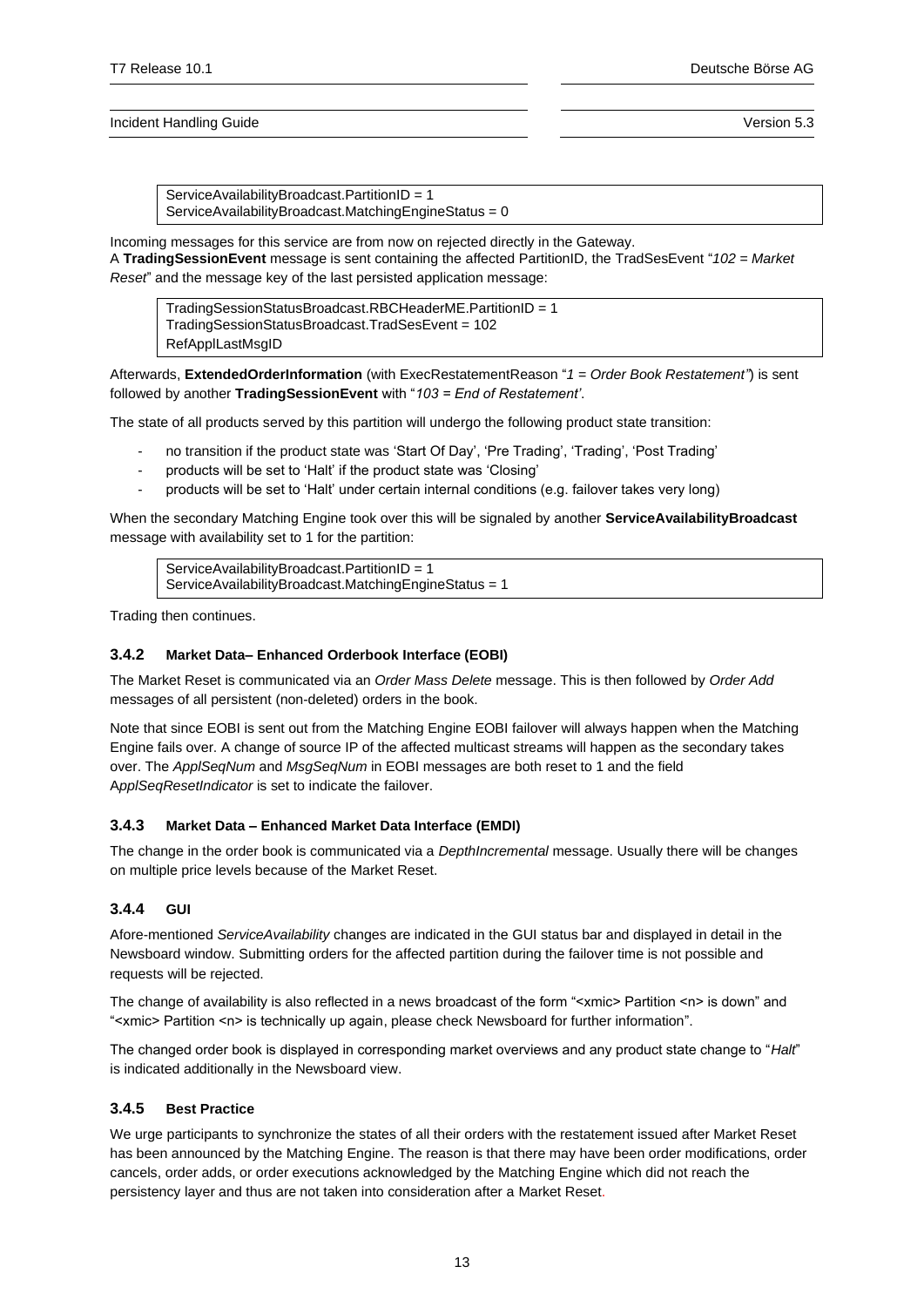ServiceAvailabilityBroadcast.PartitionID = 1 ServiceAvailabilityBroadcast.MatchingEngineStatus = 0

Incoming messages for this service are from now on rejected directly in the Gateway. A **TradingSessionEvent** message is sent containing the affected PartitionID, the TradSesEvent "*102 = Market Reset*" and the message key of the last persisted application message:

TradingSessionStatusBroadcast.RBCHeaderME.PartitionID = 1 TradingSessionStatusBroadcast.TradSesEvent = 102 RefApplLastMsgID

Afterwards, **ExtendedOrderInformation** (with ExecRestatementReason "*1 = Order Book Restatement"*) is sent followed by another **TradingSessionEvent** with "*103 = End of Restatement'*.

The state of all products served by this partition will undergo the following product state transition:

- no transition if the product state was 'Start Of Day', 'Pre Trading', 'Trading', 'Post Trading'
- products will be set to 'Halt' if the product state was 'Closing'
- products will be set to 'Halt' under certain internal conditions (e.g. failover takes very long)

When the secondary Matching Engine took over this will be signaled by another **ServiceAvailabilityBroadcast** message with availability set to 1 for the partition:

ServiceAvailabilityBroadcast.PartitionID = 1 ServiceAvailabilityBroadcast.MatchingEngineStatus = 1

Trading then continues.

## <span id="page-12-0"></span>**3.4.2 Market Data– Enhanced Orderbook Interface (EOBI)**

The Market Reset is communicated via an *Order Mass Delete* message. This is then followed by *Order Add* messages of all persistent (non-deleted) orders in the book.

Note that since EOBI is sent out from the Matching Engine EOBI failover will always happen when the Matching Engine fails over. A change of source IP of the affected multicast streams will happen as the secondary takes over. The *ApplSeqNum* and *MsgSeqNum* in EOBI messages are both reset to 1 and the field A*pplSeqResetIndicator* is set to indicate the failover.

## <span id="page-12-1"></span>**3.4.3 Market Data – Enhanced Market Data Interface (EMDI)**

The change in the order book is communicated via a *DepthIncremental* message. Usually there will be changes on multiple price levels because of the Market Reset.

## <span id="page-12-2"></span>**3.4.4 GUI**

Afore-mentioned *ServiceAvailability* changes are indicated in the GUI status bar and displayed in detail in the Newsboard window. Submitting orders for the affected partition during the failover time is not possible and requests will be rejected.

The change of availability is also reflected in a news broadcast of the form "<xmic> Partition <n> is down" and "<xmic> Partition <n> is technically up again, please check Newsboard for further information".

The changed order book is displayed in corresponding market overviews and any product state change to "*Halt*" is indicated additionally in the Newsboard view.

## <span id="page-12-3"></span>**3.4.5 Best Practice**

We urge participants to synchronize the states of all their orders with the restatement issued after Market Reset has been announced by the Matching Engine. The reason is that there may have been order modifications, order cancels, order adds, or order executions acknowledged by the Matching Engine which did not reach the persistency layer and thus are not taken into consideration after a Market Reset.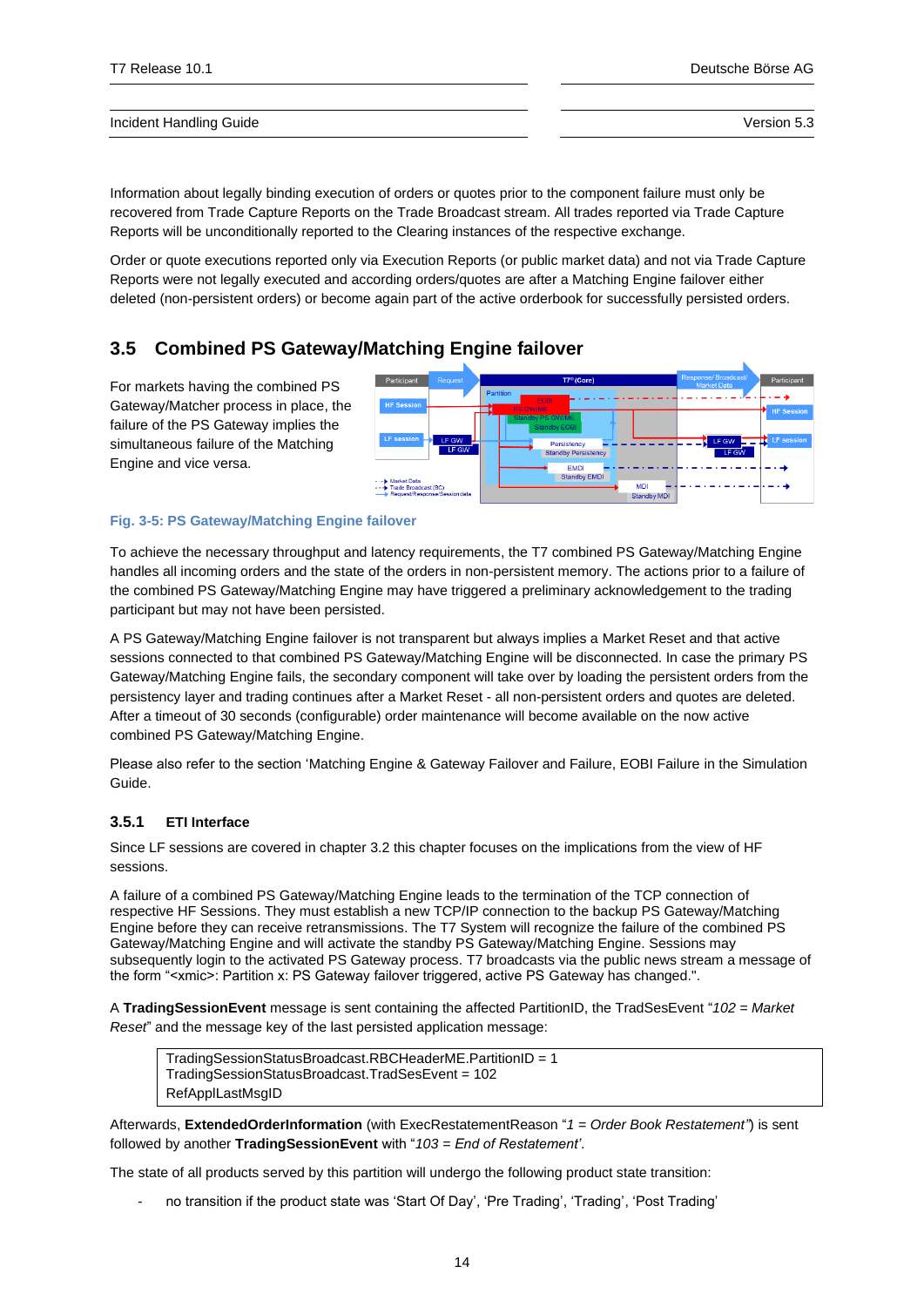Information about legally binding execution of orders or quotes prior to the component failure must only be recovered from Trade Capture Reports on the Trade Broadcast stream. All trades reported via Trade Capture Reports will be unconditionally reported to the Clearing instances of the respective exchange.

Order or quote executions reported only via Execution Reports (or public market data) and not via Trade Capture Reports were not legally executed and according orders/quotes are after a Matching Engine failover either deleted (non-persistent orders) or become again part of the active orderbook for successfully persisted orders.

# <span id="page-13-0"></span>**3.5 Combined PS Gateway/Matching Engine failover**

For markets having the combined PS Gateway/Matcher process in place, the failure of the PS Gateway implies the simultaneous failure of the Matching Engine and vice versa.



### **Fig. 3-5: PS Gateway/Matching Engine failover**

To achieve the necessary throughput and latency requirements, the T7 combined PS Gateway/Matching Engine handles all incoming orders and the state of the orders in non-persistent memory. The actions prior to a failure of the combined PS Gateway/Matching Engine may have triggered a preliminary acknowledgement to the trading participant but may not have been persisted.

A PS Gateway/Matching Engine failover is not transparent but always implies a Market Reset and that active sessions connected to that combined PS Gateway/Matching Engine will be disconnected. In case the primary PS Gateway/Matching Engine fails, the secondary component will take over by loading the persistent orders from the persistency layer and trading continues after a Market Reset - all non-persistent orders and quotes are deleted. After a timeout of 30 seconds (configurable) order maintenance will become available on the now active combined PS Gateway/Matching Engine.

Please also refer to the section 'Matching Engine & Gateway Failover and Failure, EOBI Failure in the Simulation Guide.

## <span id="page-13-1"></span>**3.5.1 ETI Interface**

Since LF sessions are covered in chapte[r 3.2](#page-9-5) this chapter focuses on the implications from the view of HF sessions.

A failure of a combined PS Gateway/Matching Engine leads to the termination of the TCP connection of respective HF Sessions. They must establish a new TCP/IP connection to the backup PS Gateway/Matching Engine before they can receive retransmissions. The T7 System will recognize the failure of the combined PS Gateway/Matching Engine and will activate the standby PS Gateway/Matching Engine. Sessions may subsequently login to the activated PS Gateway process. T7 broadcasts via the public news stream a message of the form "<xmic>: Partition x: PS Gateway failover triggered, active PS Gateway has changed.".

A **TradingSessionEvent** message is sent containing the affected PartitionID, the TradSesEvent "*102 = Market Reset*" and the message key of the last persisted application message:

TradingSessionStatusBroadcast.RBCHeaderME.PartitionID = 1 TradingSessionStatusBroadcast.TradSesEvent = 102 RefApplLastMsgID

Afterwards, **ExtendedOrderInformation** (with ExecRestatementReason "*1 = Order Book Restatement"*) is sent followed by another **TradingSessionEvent** with "*103 = End of Restatement'*.

The state of all products served by this partition will undergo the following product state transition:

- no transition if the product state was 'Start Of Day', 'Pre Trading', 'Trading', 'Post Trading'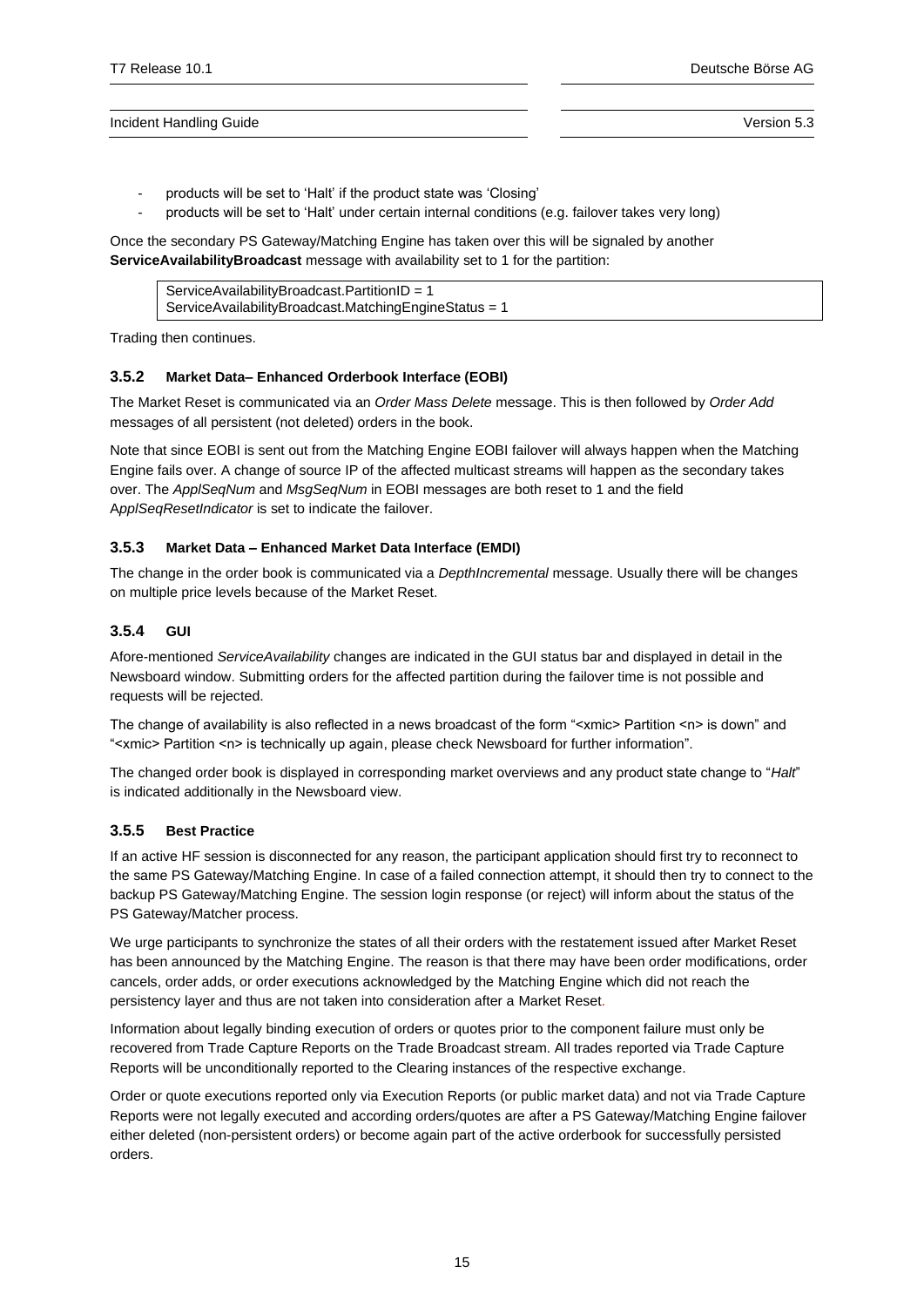- products will be set to 'Halt' if the product state was 'Closing'
- products will be set to 'Halt' under certain internal conditions (e.g. failover takes very long)

Once the secondary PS Gateway/Matching Engine has taken over this will be signaled by another **ServiceAvailabilityBroadcast** message with availability set to 1 for the partition:

ServiceAvailabilityBroadcast.PartitionID = 1 ServiceAvailabilityBroadcast.MatchingEngineStatus = 1

Trading then continues.

## <span id="page-14-0"></span>**3.5.2 Market Data– Enhanced Orderbook Interface (EOBI)**

The Market Reset is communicated via an *Order Mass Delete* message. This is then followed by *Order Add* messages of all persistent (not deleted) orders in the book.

Note that since EOBI is sent out from the Matching Engine EOBI failover will always happen when the Matching Engine fails over. A change of source IP of the affected multicast streams will happen as the secondary takes over. The *ApplSeqNum* and *MsgSeqNum* in EOBI messages are both reset to 1 and the field A*pplSeqResetIndicator* is set to indicate the failover.

## <span id="page-14-1"></span>**3.5.3 Market Data – Enhanced Market Data Interface (EMDI)**

The change in the order book is communicated via a *DepthIncremental* message. Usually there will be changes on multiple price levels because of the Market Reset.

## <span id="page-14-2"></span>**3.5.4 GUI**

Afore-mentioned *ServiceAvailability* changes are indicated in the GUI status bar and displayed in detail in the Newsboard window. Submitting orders for the affected partition during the failover time is not possible and requests will be rejected.

The change of availability is also reflected in a news broadcast of the form "<xmic> Partition <n> is down" and "<xmic> Partition <n> is technically up again, please check Newsboard for further information".

The changed order book is displayed in corresponding market overviews and any product state change to "*Halt*" is indicated additionally in the Newsboard view.

## <span id="page-14-3"></span>**3.5.5 Best Practice**

If an active HF session is disconnected for any reason, the participant application should first try to reconnect to the same PS Gateway/Matching Engine. In case of a failed connection attempt, it should then try to connect to the backup PS Gateway/Matching Engine. The session login response (or reject) will inform about the status of the PS Gateway/Matcher process.

We urge participants to synchronize the states of all their orders with the restatement issued after Market Reset has been announced by the Matching Engine. The reason is that there may have been order modifications, order cancels, order adds, or order executions acknowledged by the Matching Engine which did not reach the persistency layer and thus are not taken into consideration after a Market Reset.

Information about legally binding execution of orders or quotes prior to the component failure must only be recovered from Trade Capture Reports on the Trade Broadcast stream. All trades reported via Trade Capture Reports will be unconditionally reported to the Clearing instances of the respective exchange.

Order or quote executions reported only via Execution Reports (or public market data) and not via Trade Capture Reports were not legally executed and according orders/quotes are after a PS Gateway/Matching Engine failover either deleted (non-persistent orders) or become again part of the active orderbook for successfully persisted orders.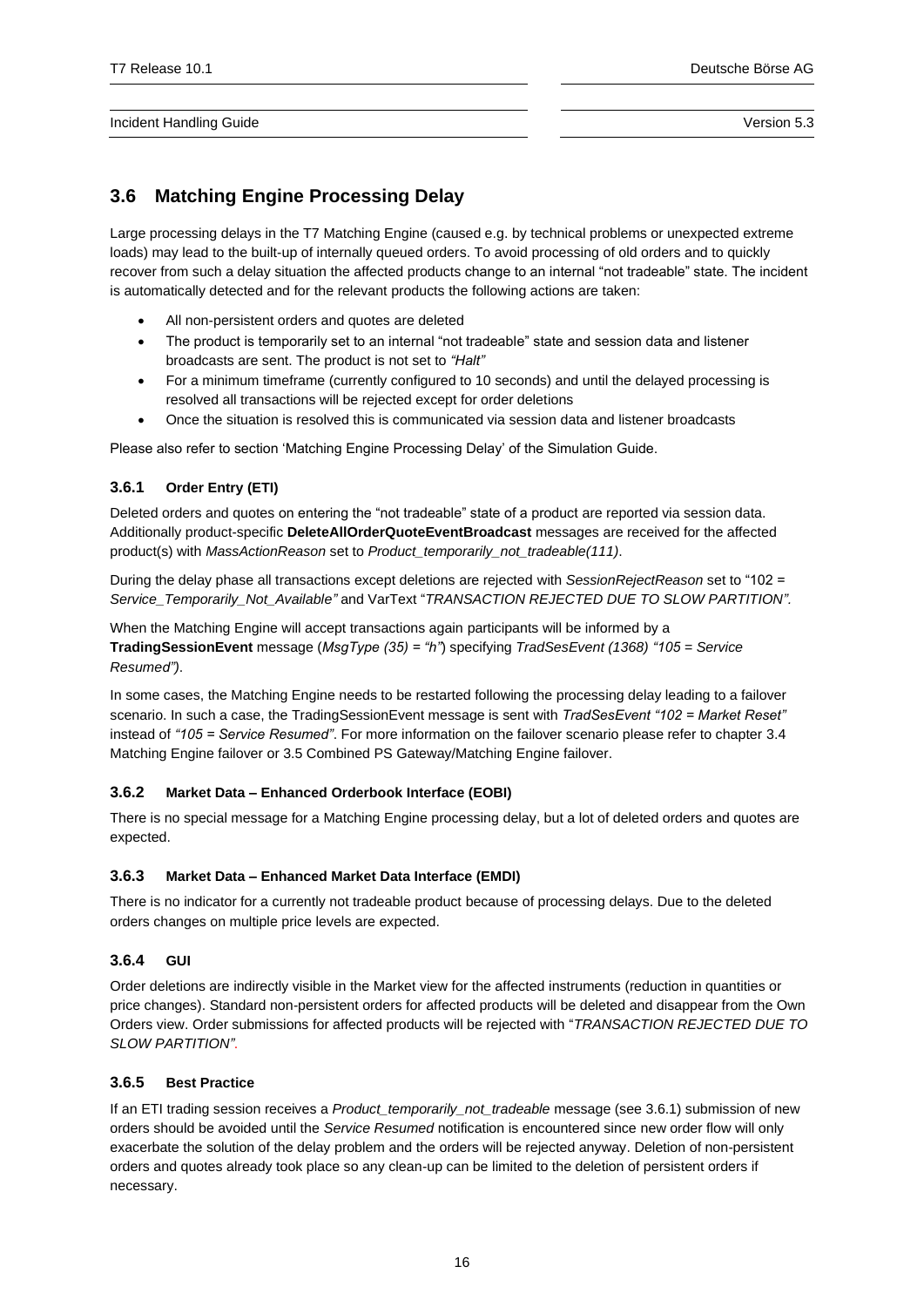# <span id="page-15-0"></span>**3.6 Matching Engine Processing Delay**

Large processing delays in the T7 Matching Engine (caused e.g. by technical problems or unexpected extreme loads) may lead to the built-up of internally queued orders. To avoid processing of old orders and to quickly recover from such a delay situation the affected products change to an internal "not tradeable" state. The incident is automatically detected and for the relevant products the following actions are taken:

- All non-persistent orders and quotes are deleted
- The product is temporarily set to an internal "not tradeable" state and session data and listener broadcasts are sent. The product is not set to *"Halt"*
- For a minimum timeframe (currently configured to 10 seconds) and until the delayed processing is resolved all transactions will be rejected except for order deletions
- Once the situation is resolved this is communicated via session data and listener broadcasts

Please also refer to section 'Matching Engine Processing Delay' of the Simulation Guide.

## <span id="page-15-1"></span>**3.6.1 Order Entry (ETI)**

Deleted orders and quotes on entering the "not tradeable" state of a product are reported via session data. Additionally product-specific **DeleteAllOrderQuoteEventBroadcast** messages are received for the affected product(s) with *MassActionReason* set to *Product\_temporarily\_not\_tradeable(111)*.

During the delay phase all transactions except deletions are rejected with *SessionRejectReason* set to "102 = *Service\_Temporarily\_Not\_Available"* and VarText "*TRANSACTION REJECTED DUE TO SLOW PARTITION".*

When the Matching Engine will accept transactions again participants will be informed by a **TradingSessionEvent** message (*MsgType (35) = "h"*) specifying *TradSesEvent (1368) "105 = Service Resumed")*.

In some cases, the Matching Engine needs to be restarted following the processing delay leading to a failover scenario. In such a case, the TradingSessionEvent message is sent with *TradSesEvent "102 = Market Reset"* instead of *"105 = Service Resumed"*. For more information on the failover scenario please refer to chapter [3.4](#page-11-5) [Matching Engine failover](#page-11-5) o[r 3.5](#page-13-0) [Combined PS Gateway/Matching Engine](#page-13-0) failover.

## <span id="page-15-2"></span>**3.6.2 Market Data – Enhanced Orderbook Interface (EOBI)**

There is no special message for a Matching Engine processing delay, but a lot of deleted orders and quotes are expected.

## <span id="page-15-3"></span>**3.6.3 Market Data – Enhanced Market Data Interface (EMDI)**

There is no indicator for a currently not tradeable product because of processing delays. Due to the deleted orders changes on multiple price levels are expected.

## <span id="page-15-4"></span>**3.6.4 GUI**

Order deletions are indirectly visible in the Market view for the affected instruments (reduction in quantities or price changes). Standard non-persistent orders for affected products will be deleted and disappear from the Own Orders view. Order submissions for affected products will be rejected with "*TRANSACTION REJECTED DUE TO SLOW PARTITION"*.

## <span id="page-15-5"></span>**3.6.5 Best Practice**

If an ETI trading session receives a *Product\_temporarily\_not\_tradeable* message (see [3.6.1\)](#page-15-1) submission of new orders should be avoided until the *Service Resumed* notification is encountered since new order flow will only exacerbate the solution of the delay problem and the orders will be rejected anyway. Deletion of non-persistent orders and quotes already took place so any clean-up can be limited to the deletion of persistent orders if necessary.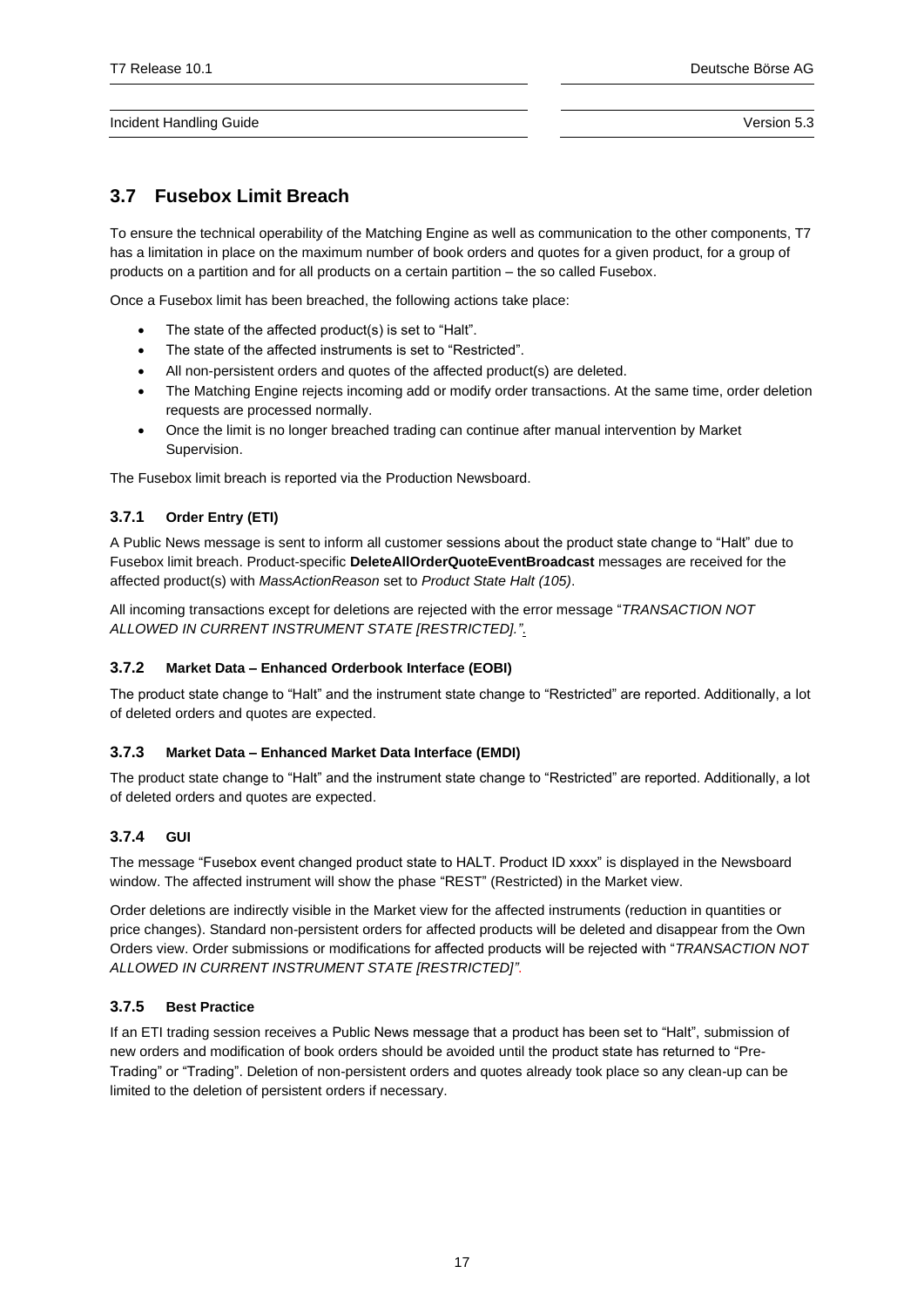# <span id="page-16-0"></span>**3.7 Fusebox Limit Breach**

To ensure the technical operability of the Matching Engine as well as communication to the other components, T7 has a limitation in place on the maximum number of book orders and quotes for a given product, for a group of products on a partition and for all products on a certain partition – the so called Fusebox.

Once a Fusebox limit has been breached, the following actions take place:

- The state of the affected product(s) is set to "Halt".
- The state of the affected instruments is set to "Restricted".
- All non-persistent orders and quotes of the affected product(s) are deleted.
- The Matching Engine rejects incoming add or modify order transactions. At the same time, order deletion requests are processed normally.
- Once the limit is no longer breached trading can continue after manual intervention by Market Supervision.

The Fusebox limit breach is reported via the Production Newsboard.

## <span id="page-16-1"></span>**3.7.1 Order Entry (ETI)**

A Public News message is sent to inform all customer sessions about the product state change to "Halt" due to Fusebox limit breach. Product-specific **DeleteAllOrderQuoteEventBroadcast** messages are received for the affected product(s) with *MassActionReason* set to *Product State Halt (105)*.

All incoming transactions except for deletions are rejected with the error message "*TRANSACTION NOT ALLOWED IN CURRENT INSTRUMENT STATE [RESTRICTED]."*.

## <span id="page-16-2"></span>**3.7.2 Market Data – Enhanced Orderbook Interface (EOBI)**

The product state change to "Halt" and the instrument state change to "Restricted" are reported. Additionally, a lot of deleted orders and quotes are expected.

## <span id="page-16-3"></span>**3.7.3 Market Data – Enhanced Market Data Interface (EMDI)**

The product state change to "Halt" and the instrument state change to "Restricted" are reported. Additionally, a lot of deleted orders and quotes are expected.

## <span id="page-16-4"></span>**3.7.4 GUI**

The message "Fusebox event changed product state to HALT. Product ID xxxx" is displayed in the Newsboard window. The affected instrument will show the phase "REST" (Restricted) in the Market view.

Order deletions are indirectly visible in the Market view for the affected instruments (reduction in quantities or price changes). Standard non-persistent orders for affected products will be deleted and disappear from the Own Orders view. Order submissions or modifications for affected products will be rejected with "*TRANSACTION NOT ALLOWED IN CURRENT INSTRUMENT STATE [RESTRICTED]"*.

## <span id="page-16-5"></span>**3.7.5 Best Practice**

<span id="page-16-6"></span>If an ETI trading session receives a Public News message that a product has been set to "Halt", submission of new orders and modification of book orders should be avoided until the product state has returned to "Pre-Trading" or "Trading". Deletion of non-persistent orders and quotes already took place so any clean-up can be limited to the deletion of persistent orders if necessary.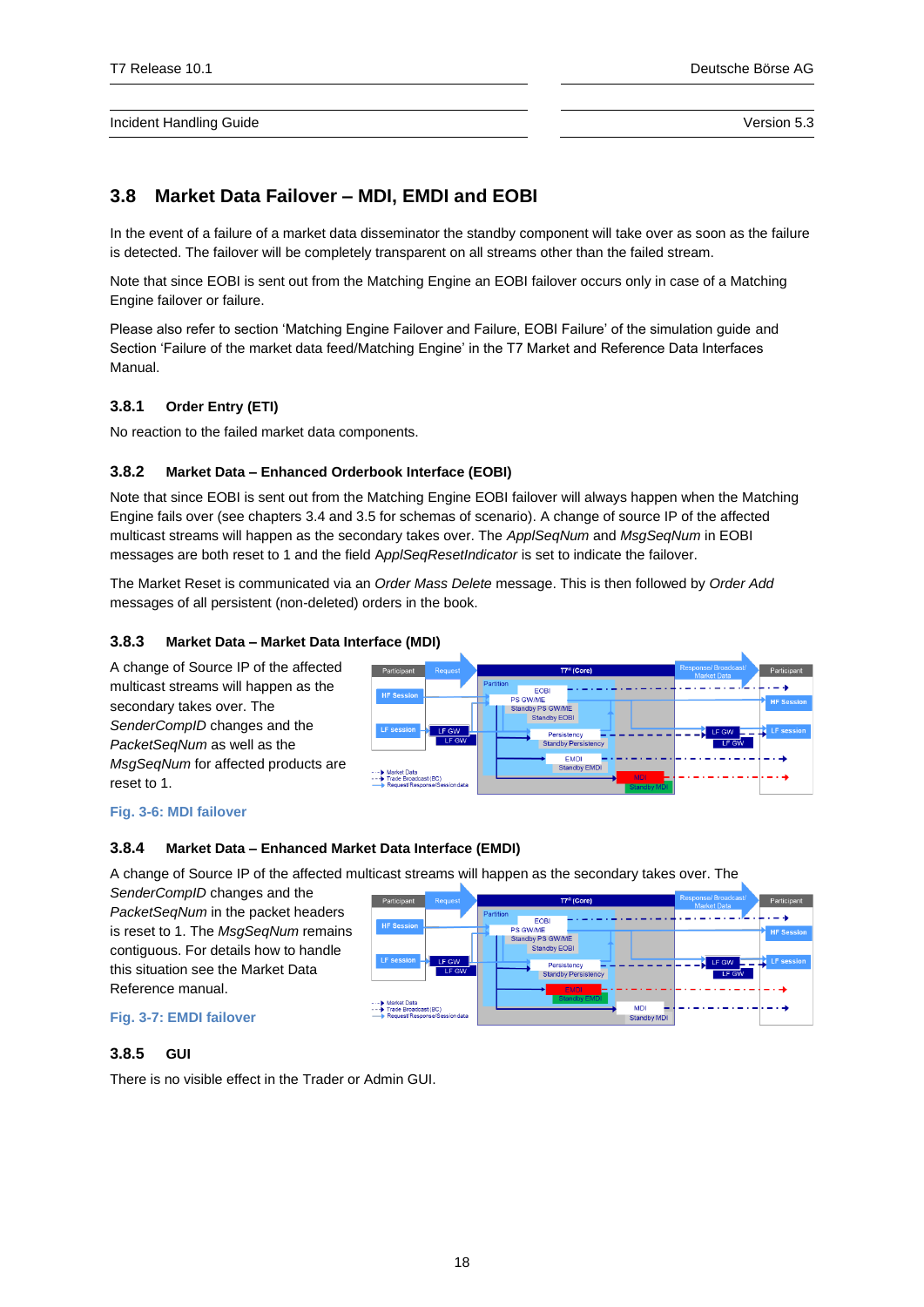# **3.8 Market Data Failover – MDI, EMDI and EOBI**

In the event of a failure of a market data disseminator the standby component will take over as soon as the failure is detected. The failover will be completely transparent on all streams other than the failed stream.

Note that since EOBI is sent out from the Matching Engine an EOBI failover occurs only in case of a Matching Engine failover or failure.

Please also refer to section 'Matching Engine Failover and Failure, EOBI Failure' of the simulation guide and Section 'Failure of the market data feed/Matching Engine' in the T7 Market and Reference Data Interfaces Manual.

## <span id="page-17-0"></span>**3.8.1 Order Entry (ETI)**

No reaction to the failed market data components.

## <span id="page-17-1"></span>**3.8.2 Market Data – Enhanced Orderbook Interface (EOBI)**

Note that since EOBI is sent out from the Matching Engine EOBI failover will always happen when the Matching Engine fails over (see chapters [3.4](#page-11-5) an[d 3.5](#page-13-0) for schemas of scenario). A change of source IP of the affected multicast streams will happen as the secondary takes over. The *ApplSeqNum* and *MsgSeqNum* in EOBI messages are both reset to 1 and the field A*pplSeqResetIndicator* is set to indicate the failover.

The Market Reset is communicated via an *Order Mass Delete* message. This is then followed by *Order Add* messages of all persistent (non-deleted) orders in the book.

## <span id="page-17-2"></span>**3.8.3 Market Data – Market Data Interface (MDI)**

A change of Source IP of the affected multicast streams will happen as the secondary takes over. The *SenderCompID* changes and the *PacketSeqNum* as well as the *MsgSeqNum* for affected products are reset to 1.



## **Fig. 3-6: MDI failover**

## <span id="page-17-3"></span>**3.8.4 Market Data – Enhanced Market Data Interface (EMDI)**

A change of Source IP of the affected multicast streams will happen as the secondary takes over. The

*SenderCompID* changes and the *PacketSeqNum* in the packet headers is reset to 1. The *MsgSeqNum* remains contiguous. For details how to handle this situation see the Market Data Reference manual.

| Participant                                                               | <b>Request</b> | Response/Broadcast/<br>T7 <sup>®</sup> (Core)<br>Participant<br><b>Market Data</b>                                          |
|---------------------------------------------------------------------------|----------------|-----------------------------------------------------------------------------------------------------------------------------|
| <b>HF Session</b>                                                         |                | Partition<br><b>EOBI</b><br>PS GW/ME<br><b>HF Session</b>                                                                   |
| <b>LF</b> session $\Box$                                                  | LF GW<br>LF GW | Standby PS GW/ME<br><b>Standby EOBI</b><br><b>LF</b> session<br>LF GW<br>Persistency<br>LF GW<br><b>Standby Persistency</b> |
| -> Market Data<br>- Trade Broadcast (BC)<br>Request/Response/Session data |                | <b>EMDI</b><br><b>Standby EMDI</b><br><b>MDI</b><br>Chairmallery & ACU                                                      |

## **Fig. 3-7: EMDI failover**

## <span id="page-17-4"></span>**3.8.5 GUI**

There is no visible effect in the Trader or Admin GUI.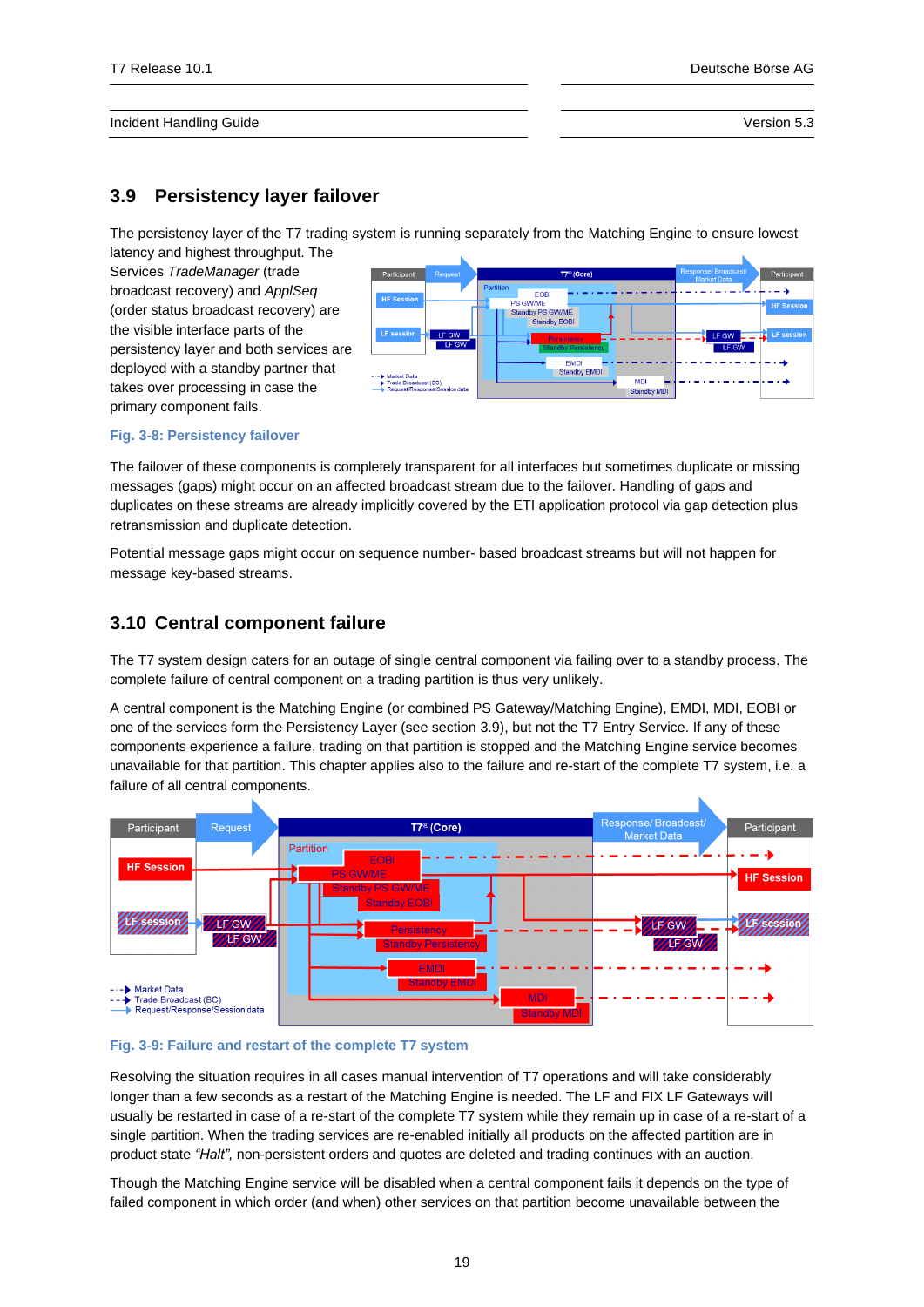## <span id="page-18-0"></span>**3.9 Persistency layer failover**

The persistency layer of the T7 trading system is running separately from the Matching Engine to ensure lowest

latency and highest throughput. The Services *TradeManager* (trade broadcast recovery) and *ApplSeq* (order status broadcast recovery) are the visible interface parts of the persistency layer and both services are deployed with a standby partner that takes over processing in case the primary component fails.



#### **Fig. 3-8: Persistency failover**

The failover of these components is completely transparent for all interfaces but sometimes duplicate or missing messages (gaps) might occur on an affected broadcast stream due to the failover. Handling of gaps and duplicates on these streams are already implicitly covered by the ETI application protocol via gap detection plus retransmission and duplicate detection.

Potential message gaps might occur on sequence number- based broadcast streams but will not happen for message key-based streams.

## <span id="page-18-1"></span>**3.10 Central component failure**

The T7 system design caters for an outage of single central component via failing over to a standby process. The complete failure of central component on a trading partition is thus very unlikely.

A central component is the Matching Engine (or combined PS Gateway/Matching Engine), EMDI, MDI, EOBI or one of the services form the Persistency Layer (see section [3.9\)](#page-18-0), but not the T7 Entry Service. If any of these components experience a failure, trading on that partition is stopped and the Matching Engine service becomes unavailable for that partition. This chapter applies also to the failure and re-start of the complete T7 system, i.e. a failure of all central components.



### **Fig. 3-9: Failure and restart of the complete T7 system**

Resolving the situation requires in all cases manual intervention of T7 operations and will take considerably longer than a few seconds as a restart of the Matching Engine is needed. The LF and FIX LF Gateways will usually be restarted in case of a re-start of the complete T7 system while they remain up in case of a re-start of a single partition. When the trading services are re-enabled initially all products on the affected partition are in product state *"Halt",* non-persistent orders and quotes are deleted and trading continues with an auction.

Though the Matching Engine service will be disabled when a central component fails it depends on the type of failed component in which order (and when) other services on that partition become unavailable between the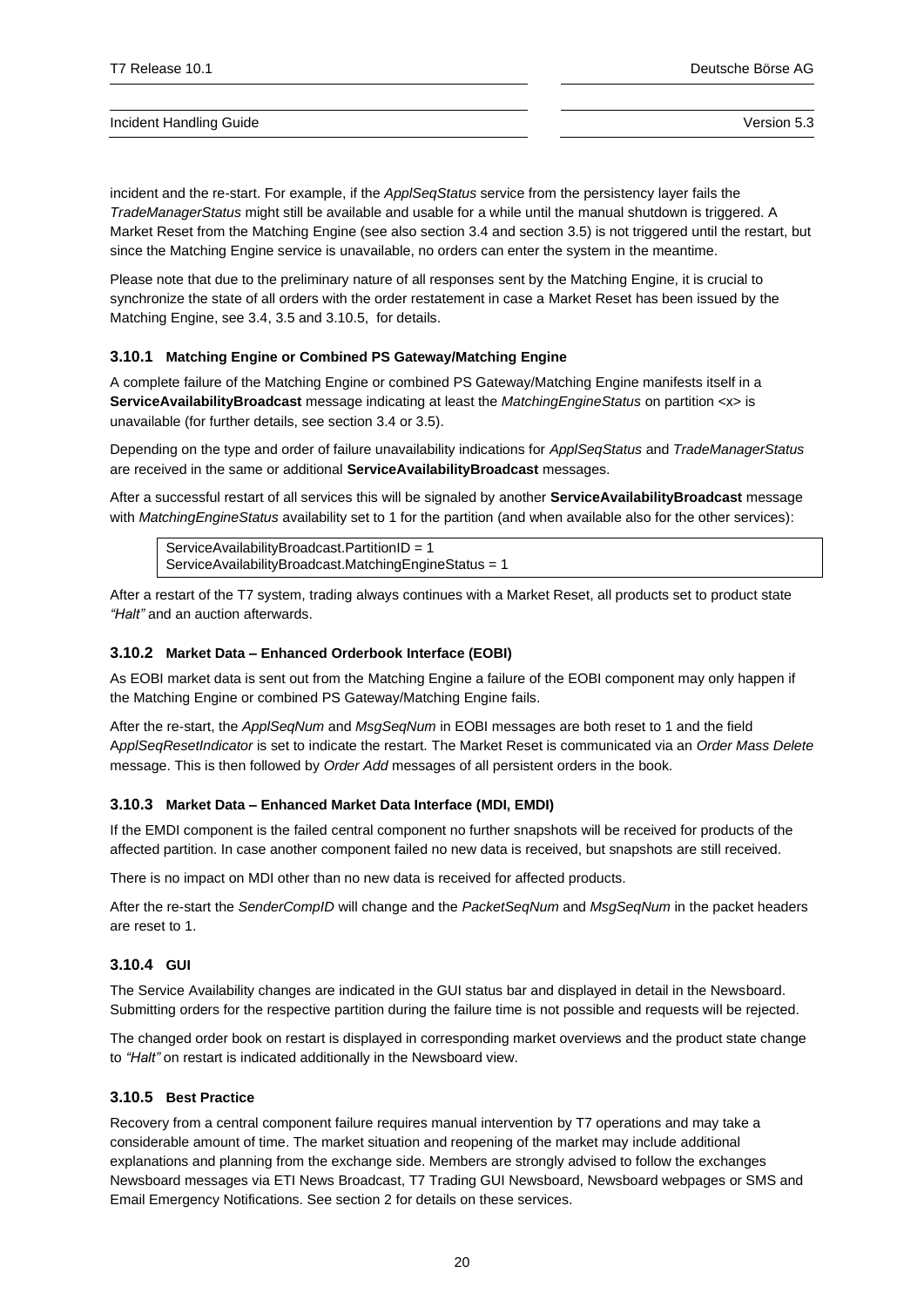incident and the re-start. For example, if the *ApplSeqStatus* service from the persistency layer fails the *TradeManagerStatus* might still be available and usable for a while until the manual shutdown is triggered. A Market Reset from the Matching Engine (see also section [3.4](#page-11-5) and sectio[n 3.5\)](#page-13-0) is not triggered until the restart, but since the Matching Engine service is unavailable, no orders can enter the system in the meantime.

Please note that due to the preliminary nature of all responses sent by the Matching Engine, it is crucial to synchronize the state of all orders with the order restatement in case a Market Reset has been issued by the Matching Engine, see [3.4,](#page-11-5) [3.5](#page-13-0) and [3.10.5,](#page-19-4) for details.

## <span id="page-19-0"></span>**3.10.1 Matching Engine or Combined PS Gateway/Matching Engine**

A complete failure of the Matching Engine or combined PS Gateway/Matching Engine manifests itself in a **ServiceAvailabilityBroadcast** message indicating at least the *MatchingEngineStatus* on partition <x> is unavailable (for further details, see section [3.4](#page-11-5) or [3.5\)](#page-13-0).

Depending on the type and order of failure unavailability indications for *ApplSeqStatus* and *TradeManagerStatus* are received in the same or additional **ServiceAvailabilityBroadcast** messages.

After a successful restart of all services this will be signaled by another **ServiceAvailabilityBroadcast** message with *MatchingEngineStatus* availability set to 1 for the partition (and when available also for the other services):

ServiceAvailabilityBroadcast.PartitionID = 1 ServiceAvailabilityBroadcast.MatchingEngineStatus = 1

After a restart of the T7 system, trading always continues with a Market Reset, all products set to product state *"Halt"* and an auction afterwards.

### <span id="page-19-1"></span>**3.10.2 Market Data – Enhanced Orderbook Interface (EOBI)**

As EOBI market data is sent out from the Matching Engine a failure of the EOBI component may only happen if the Matching Engine or combined PS Gateway/Matching Engine fails.

After the re-start, the *ApplSeqNum* and *MsgSeqNum* in EOBI messages are both reset to 1 and the field A*pplSeqResetIndicator* is set to indicate the restart. The Market Reset is communicated via an *Order Mass Delete* message. This is then followed by *Order Add* messages of all persistent orders in the book.

## <span id="page-19-2"></span>**3.10.3 Market Data – Enhanced Market Data Interface (MDI, EMDI)**

If the EMDI component is the failed central component no further snapshots will be received for products of the affected partition. In case another component failed no new data is received, but snapshots are still received.

There is no impact on MDI other than no new data is received for affected products.

After the re-start the *SenderCompID* will change and the *PacketSeqNum* and *MsgSeqNum* in the packet headers are reset to 1.

## <span id="page-19-3"></span>**3.10.4 GUI**

The Service Availability changes are indicated in the GUI status bar and displayed in detail in the Newsboard. Submitting orders for the respective partition during the failure time is not possible and requests will be rejected.

The changed order book on restart is displayed in corresponding market overviews and the product state change to *"Halt"* on restart is indicated additionally in the Newsboard view.

## <span id="page-19-4"></span>**3.10.5 Best Practice**

Recovery from a central component failure requires manual intervention by T7 operations and may take a considerable amount of time. The market situation and reopening of the market may include additional explanations and planning from the exchange side. Members are strongly advised to follow the exchanges Newsboard messages via ETI News Broadcast, T7 Trading GUI Newsboard, Newsboard webpages or SMS and Email Emergency Notifications. See section [2](#page-6-0) for details on these services.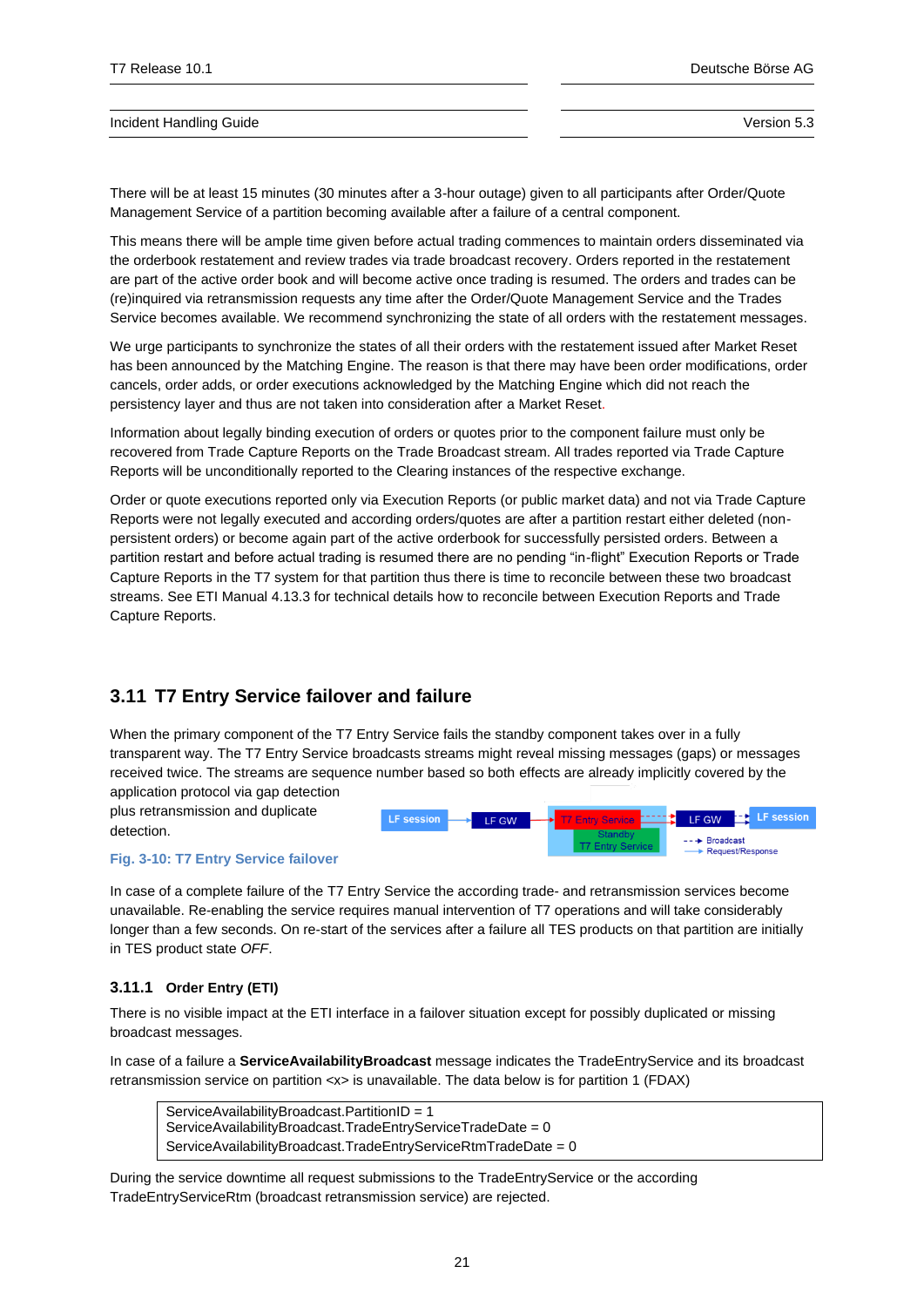There will be at least 15 minutes (30 minutes after a 3-hour outage) given to all participants after Order/Quote Management Service of a partition becoming available after a failure of a central component.

This means there will be ample time given before actual trading commences to maintain orders disseminated via the orderbook restatement and review trades via trade broadcast recovery. Orders reported in the restatement are part of the active order book and will become active once trading is resumed. The orders and trades can be (re)inquired via retransmission requests any time after the Order/Quote Management Service and the Trades Service becomes available. We recommend synchronizing the state of all orders with the restatement messages.

We urge participants to synchronize the states of all their orders with the restatement issued after Market Reset has been announced by the Matching Engine. The reason is that there may have been order modifications, order cancels, order adds, or order executions acknowledged by the Matching Engine which did not reach the persistency layer and thus are not taken into consideration after a Market Reset.

Information about legally binding execution of orders or quotes prior to the component failure must only be recovered from Trade Capture Reports on the Trade Broadcast stream. All trades reported via Trade Capture Reports will be unconditionally reported to the Clearing instances of the respective exchange.

Order or quote executions reported only via Execution Reports (or public market data) and not via Trade Capture Reports were not legally executed and according orders/quotes are after a partition restart either deleted (nonpersistent orders) or become again part of the active orderbook for successfully persisted orders. Between a partition restart and before actual trading is resumed there are no pending "in-flight" Execution Reports or Trade Capture Reports in the T7 system for that partition thus there is time to reconcile between these two broadcast streams. See ETI Manual 4.13.3 for technical details how to reconcile between Execution Reports and Trade Capture Reports.

# <span id="page-20-0"></span>**3.11 T7 Entry Service failover and failure**

When the primary component of the T7 Entry Service fails the standby component takes over in a fully transparent way. The T7 Entry Service broadcasts streams might reveal missing messages (gaps) or messages received twice. The streams are sequence number based so both effects are already implicitly covered by the application protocol via gap detection

plus retransmission and duplicate detection.



#### **Fig. 3-10: T7 Entry Service failover**

In case of a complete failure of the T7 Entry Service the according trade- and retransmission services become unavailable. Re-enabling the service requires manual intervention of T7 operations and will take considerably longer than a few seconds. On re-start of the services after a failure all TES products on that partition are initially in TES product state *OFF*.

## <span id="page-20-1"></span>**3.11.1 Order Entry (ETI)**

There is no visible impact at the ETI interface in a failover situation except for possibly duplicated or missing broadcast messages.

In case of a failure a **ServiceAvailabilityBroadcast** message indicates the TradeEntryService and its broadcast retransmission service on partition  $\langle x \rangle$  is unavailable. The data below is for partition 1 (FDAX)

```
ServiceAvailabilityBroadcast.PartitionID = 1 
ServiceAvailabilityBroadcast.TradeEntryServiceTradeDate = 0 
ServiceAvailabilityBroadcast.TradeEntryServiceRtmTradeDate = 0
```
During the service downtime all request submissions to the TradeEntryService or the according TradeEntryServiceRtm (broadcast retransmission service) are rejected.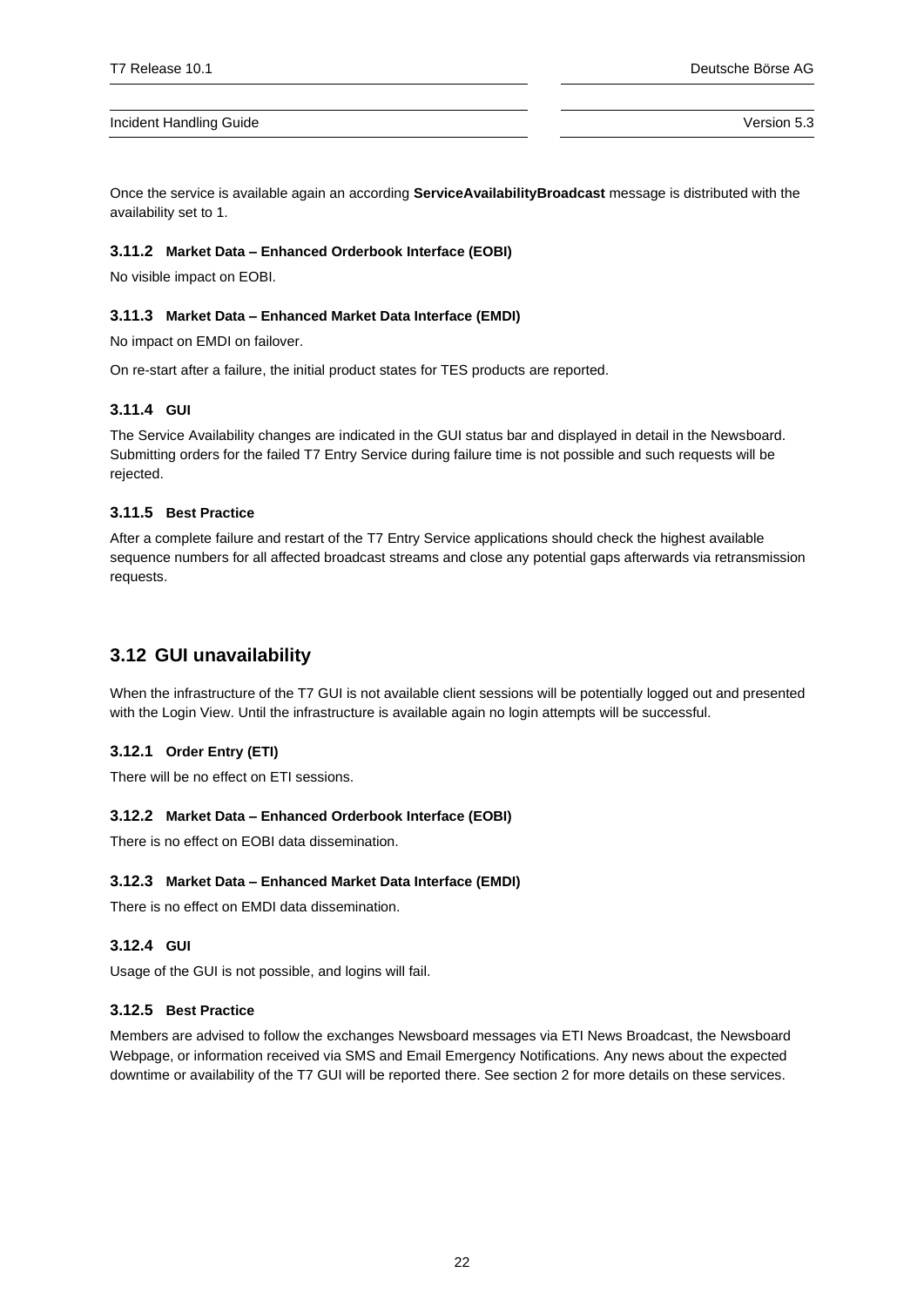Once the service is available again an according **ServiceAvailabilityBroadcast** message is distributed with the availability set to 1.

## <span id="page-21-0"></span>**3.11.2 Market Data – Enhanced Orderbook Interface (EOBI)**

No visible impact on EOBI.

### <span id="page-21-1"></span>**3.11.3 Market Data – Enhanced Market Data Interface (EMDI)**

No impact on EMDI on failover.

On re-start after a failure, the initial product states for TES products are reported.

## <span id="page-21-2"></span>**3.11.4 GUI**

The Service Availability changes are indicated in the GUI status bar and displayed in detail in the Newsboard. Submitting orders for the failed T7 Entry Service during failure time is not possible and such requests will be rejected.

## <span id="page-21-3"></span>**3.11.5 Best Practice**

After a complete failure and restart of the T7 Entry Service applications should check the highest available sequence numbers for all affected broadcast streams and close any potential gaps afterwards via retransmission requests.

## <span id="page-21-4"></span>**3.12 GUI unavailability**

When the infrastructure of the T7 GUI is not available client sessions will be potentially logged out and presented with the Login View. Until the infrastructure is available again no login attempts will be successful.

## <span id="page-21-5"></span>**3.12.1 Order Entry (ETI)**

There will be no effect on ETI sessions.

## <span id="page-21-6"></span>**3.12.2 Market Data – Enhanced Orderbook Interface (EOBI)**

There is no effect on EOBI data dissemination.

## <span id="page-21-7"></span>**3.12.3 Market Data – Enhanced Market Data Interface (EMDI)**

There is no effect on EMDI data dissemination.

## <span id="page-21-8"></span>**3.12.4 GUI**

Usage of the GUI is not possible, and logins will fail.

## <span id="page-21-9"></span>**3.12.5 Best Practice**

Members are advised to follow the exchanges Newsboard messages via ETI News Broadcast, the Newsboard Webpage, or information received via SMS and Email Emergency Notifications. Any news about the expected downtime or availability of the T7 GUI will be reported there. See sectio[n 2](#page-6-0) for more details on these services.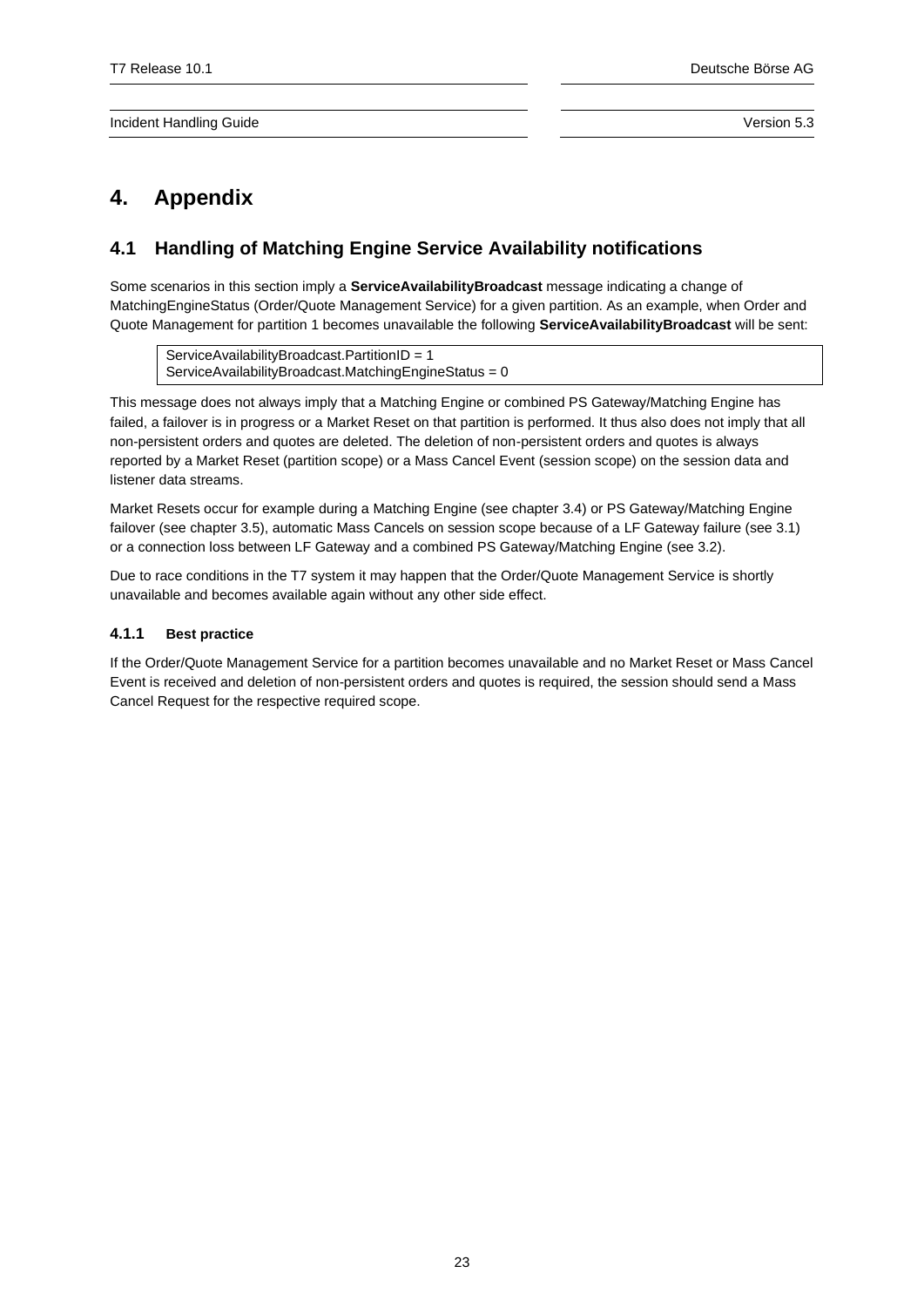# <span id="page-22-0"></span>**4. Appendix**

# <span id="page-22-1"></span>**4.1 Handling of Matching Engine Service Availability notifications**

Some scenarios in this section imply a **ServiceAvailabilityBroadcast** message indicating a change of MatchingEngineStatus (Order/Quote Management Service) for a given partition. As an example, when Order and Quote Management for partition 1 becomes unavailable the following **ServiceAvailabilityBroadcast** will be sent:

ServiceAvailabilityBroadcast.PartitionID = 1 ServiceAvailabilityBroadcast.MatchingEngineStatus = 0

This message does not always imply that a Matching Engine or combined PS Gateway/Matching Engine has failed, a failover is in progress or a Market Reset on that partition is performed. It thus also does not imply that all non-persistent orders and quotes are deleted. The deletion of non-persistent orders and quotes is always reported by a Market Reset (partition scope) or a Mass Cancel Event (session scope) on the session data and listener data streams.

Market Resets occur for example during a Matching Engine (see chapte[r 3.4\)](#page-11-5) or PS Gateway/Matching Engine failover (see chapter [3.5\)](#page-13-0), automatic Mass Cancels on session scope because of a LF Gateway failure (see [3.1\)](#page-8-1) or a connection loss between LF Gateway and a combined PS Gateway/Matching Engine (see [3.2\)](#page-9-5).

Due to race conditions in the T7 system it may happen that the Order/Quote Management Service is shortly unavailable and becomes available again without any other side effect.

## <span id="page-22-2"></span>**4.1.1 Best practice**

If the Order/Quote Management Service for a partition becomes unavailable and no Market Reset or Mass Cancel Event is received and deletion of non-persistent orders and quotes is required, the session should send a Mass Cancel Request for the respective required scope.